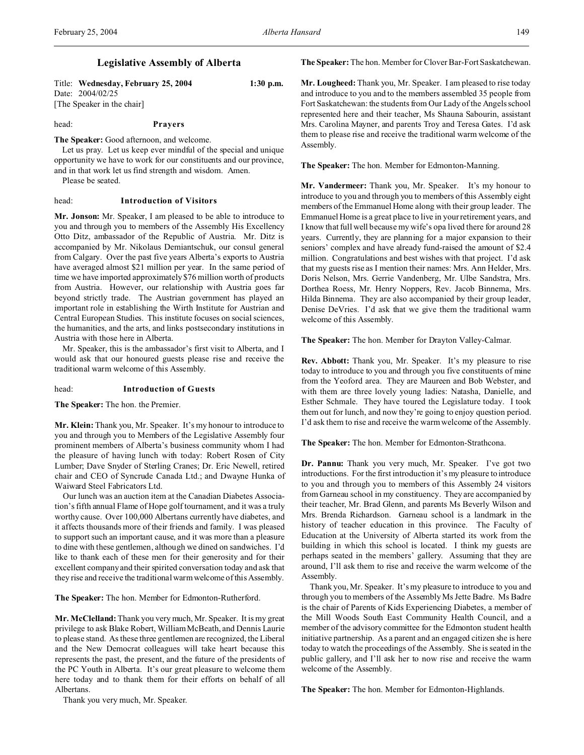## **Legislative Assembly of Alberta**

Title: **Wednesday, February 25, 2004 1:30 p.m.** Date: 2004/02/25 [The Speaker in the chair]

head: **Prayers**

**The Speaker:** Good afternoon, and welcome.

Let us pray. Let us keep ever mindful of the special and unique opportunity we have to work for our constituents and our province, and in that work let us find strength and wisdom. Amen.

Please be seated.

#### head: **Introduction of Visitors**

**Mr. Jonson:** Mr. Speaker, I am pleased to be able to introduce to you and through you to members of the Assembly His Excellency Otto Ditz, ambassador of the Republic of Austria. Mr. Ditz is accompanied by Mr. Nikolaus Demiantschuk, our consul general from Calgary. Over the past five years Alberta's exports to Austria have averaged almost \$21 million per year. In the same period of time we have imported approximately \$76 million worth of products from Austria. However, our relationship with Austria goes far beyond strictly trade. The Austrian government has played an important role in establishing the Wirth Institute for Austrian and Central European Studies. This institute focuses on social sciences, the humanities, and the arts, and links postsecondary institutions in Austria with those here in Alberta.

Mr. Speaker, this is the ambassador's first visit to Alberta, and I would ask that our honoured guests please rise and receive the traditional warm welcome of this Assembly.

#### head: **Introduction of Guests**

**The Speaker:** The hon. the Premier.

**Mr. Klein:** Thank you, Mr. Speaker. It's my honour to introduce to you and through you to Members of the Legislative Assembly four prominent members of Alberta's business community whom I had the pleasure of having lunch with today: Robert Rosen of City Lumber; Dave Snyder of Sterling Cranes; Dr. Eric Newell, retired chair and CEO of Syncrude Canada Ltd.; and Dwayne Hunka of Waiward Steel Fabricators Ltd.

Our lunch was an auction item at the Canadian Diabetes Association's fifth annual Flame of Hope golf tournament, and it was a truly worthy cause. Over 100,000 Albertans currently have diabetes, and it affects thousands more of their friends and family. I was pleased to support such an important cause, and it was more than a pleasure to dine with these gentlemen, although we dined on sandwiches. I'd like to thank each of these men for their generosity and for their excellent company and their spirited conversation today and ask that they rise and receive the traditional warm welcome of this Assembly.

**The Speaker:** The hon. Member for Edmonton-Rutherford.

**Mr. McClelland:** Thank you very much, Mr. Speaker. It is my great privilege to ask Blake Robert, William McBeath, and Dennis Laurie to please stand. As these three gentlemen are recognized, the Liberal and the New Democrat colleagues will take heart because this represents the past, the present, and the future of the presidents of the PC Youth in Alberta. It's our great pleasure to welcome them here today and to thank them for their efforts on behalf of all Albertans.

**The Speaker:** The hon. Member for Clover Bar-Fort Saskatchewan.

**Mr. Lougheed:** Thank you, Mr. Speaker. I am pleased to rise today and introduce to you and to the members assembled 35 people from Fort Saskatchewan: the students from Our Lady of the Angels school represented here and their teacher, Ms Shauna Sabourin, assistant Mrs. Carolina Mayner, and parents Troy and Teresa Gates. I'd ask them to please rise and receive the traditional warm welcome of the Assembly.

**The Speaker:** The hon. Member for Edmonton-Manning.

**Mr. Vandermeer:** Thank you, Mr. Speaker. It's my honour to introduce to you and through you to members of this Assembly eight members of the Emmanuel Home along with their group leader. The Emmanuel Home is a great place to live in your retirement years, and I know that full well because my wife's opa lived there for around 28 years. Currently, they are planning for a major expansion to their seniors' complex and have already fund-raised the amount of \$2.4 million. Congratulations and best wishes with that project. I'd ask that my guests rise as I mention their names: Mrs. Ann Helder, Mrs. Doris Nelson, Mrs. Gerrie Vandenberg, Mr. Ulbe Sandstra, Mrs. Dorthea Roess, Mr. Henry Noppers, Rev. Jacob Binnema, Mrs. Hilda Binnema. They are also accompanied by their group leader, Denise DeVries. I'd ask that we give them the traditional warm welcome of this Assembly.

**The Speaker:** The hon. Member for Drayton Valley-Calmar.

**Rev. Abbott:** Thank you, Mr. Speaker. It's my pleasure to rise today to introduce to you and through you five constituents of mine from the Yeoford area. They are Maureen and Bob Webster, and with them are three lovely young ladies: Natasha, Danielle, and Esther Schmale. They have toured the Legislature today. I took them out for lunch, and now they're going to enjoy question period. I'd ask them to rise and receive the warm welcome of the Assembly.

**The Speaker:** The hon. Member for Edmonton-Strathcona.

**Dr. Pannu:** Thank you very much, Mr. Speaker. I've got two introductions. For the first introduction it's my pleasure to introduce to you and through you to members of this Assembly 24 visitors from Garneau school in my constituency. They are accompanied by their teacher, Mr. Brad Glenn, and parents Ms Beverly Wilson and Mrs. Brenda Richardson. Garneau school is a landmark in the history of teacher education in this province. The Faculty of Education at the University of Alberta started its work from the building in which this school is located. I think my guests are perhaps seated in the members' gallery. Assuming that they are around, I'll ask them to rise and receive the warm welcome of the Assembly.

Thank you, Mr. Speaker. It's my pleasure to introduce to you and through you to members of the Assembly Ms Jette Badre. Ms Badre is the chair of Parents of Kids Experiencing Diabetes, a member of the Mill Woods South East Community Health Council, and a member of the advisory committee for the Edmonton student health initiative partnership. As a parent and an engaged citizen she is here today to watch the proceedings of the Assembly. She is seated in the public gallery, and I'll ask her to now rise and receive the warm welcome of the Assembly.

**The Speaker:** The hon. Member for Edmonton-Highlands.

Thank you very much, Mr. Speaker.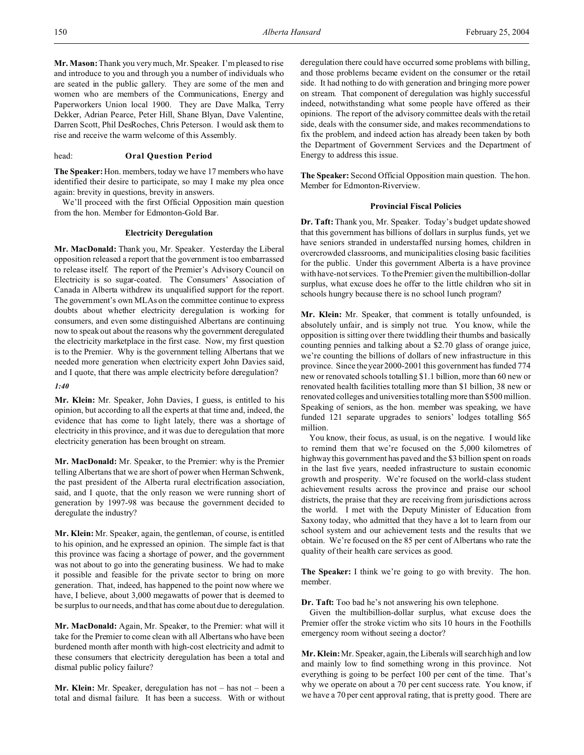**Mr. Mason:** Thank you very much, Mr. Speaker. I'm pleased to rise and introduce to you and through you a number of individuals who are seated in the public gallery. They are some of the men and women who are members of the Communications, Energy and Paperworkers Union local 1900. They are Dave Malka, Terry Dekker, Adrian Pearce, Peter Hill, Shane Blyan, Dave Valentine, Darren Scott, Phil DesRoches, Chris Peterson. I would ask them to rise and receive the warm welcome of this Assembly.

## head: **Oral Question Period**

**The Speaker:**Hon. members, today we have 17 members who have identified their desire to participate, so may I make my plea once again: brevity in questions, brevity in answers.

We'll proceed with the first Official Opposition main question from the hon. Member for Edmonton-Gold Bar.

#### **Electricity Deregulation**

**Mr. MacDonald:** Thank you, Mr. Speaker. Yesterday the Liberal opposition released a report that the government is too embarrassed to release itself. The report of the Premier's Advisory Council on Electricity is so sugar-coated. The Consumers' Association of Canada in Alberta withdrew its unqualified support for the report. The government's own MLAs on the committee continue to express doubts about whether electricity deregulation is working for consumers, and even some distinguished Albertans are continuing now to speak out about the reasons why the government deregulated the electricity marketplace in the first case. Now, my first question is to the Premier. Why is the government telling Albertans that we needed more generation when electricity expert John Davies said, and I quote, that there was ample electricity before deregulation?

## *1:40*

**Mr. Klein:** Mr. Speaker, John Davies, I guess, is entitled to his opinion, but according to all the experts at that time and, indeed, the evidence that has come to light lately, there was a shortage of electricity in this province, and it was due to deregulation that more electricity generation has been brought on stream.

**Mr. MacDonald:** Mr. Speaker, to the Premier: why is the Premier telling Albertans that we are short of power when Herman Schwenk, the past president of the Alberta rural electrification association, said, and I quote, that the only reason we were running short of generation by 1997-98 was because the government decided to deregulate the industry?

**Mr. Klein:** Mr. Speaker, again, the gentleman, of course, is entitled to his opinion, and he expressed an opinion. The simple fact is that this province was facing a shortage of power, and the government was not about to go into the generating business. We had to make it possible and feasible for the private sector to bring on more generation. That, indeed, has happened to the point now where we have, I believe, about 3,000 megawatts of power that is deemed to be surplus to our needs, and that has come about due to deregulation.

**Mr. MacDonald:** Again, Mr. Speaker, to the Premier: what will it take for the Premier to come clean with all Albertans who have been burdened month after month with high-cost electricity and admit to these consumers that electricity deregulation has been a total and dismal public policy failure?

**Mr. Klein:** Mr. Speaker, deregulation has not – has not – been a total and dismal failure. It has been a success. With or without deregulation there could have occurred some problems with billing, and those problems became evident on the consumer or the retail side. It had nothing to do with generation and bringing more power on stream. That component of deregulation was highly successful indeed, notwithstanding what some people have offered as their opinions. The report of the advisory committee deals with the retail side, deals with the consumer side, and makes recommendations to fix the problem, and indeed action has already been taken by both the Department of Government Services and the Department of Energy to address this issue.

**The Speaker:** Second Official Opposition main question. The hon. Member for Edmonton-Riverview.

## **Provincial Fiscal Policies**

**Dr. Taft:** Thank you, Mr. Speaker. Today's budget update showed that this government has billions of dollars in surplus funds, yet we have seniors stranded in understaffed nursing homes, children in overcrowded classrooms, and municipalities closing basic facilities for the public. Under this government Alberta is a have province with have-not services. To the Premier: given the multibillion-dollar surplus, what excuse does he offer to the little children who sit in schools hungry because there is no school lunch program?

**Mr. Klein:** Mr. Speaker, that comment is totally unfounded, is absolutely unfair, and is simply not true. You know, while the opposition is sitting over there twiddling their thumbs and basically counting pennies and talking about a \$2.70 glass of orange juice, we're counting the billions of dollars of new infrastructure in this province. Since the year 2000-2001 this government has funded 774 new or renovated schools totalling \$1.1 billion, more than 60 new or renovated health facilities totalling more than \$1 billion, 38 new or renovated colleges and universities totalling more than \$500 million. Speaking of seniors, as the hon. member was speaking, we have funded 121 separate upgrades to seniors' lodges totalling \$65 million.

You know, their focus, as usual, is on the negative. I would like to remind them that we're focused on the 5,000 kilometres of highway this government has paved and the \$3 billion spent on roads in the last five years, needed infrastructure to sustain economic growth and prosperity. We're focused on the world-class student achievement results across the province and praise our school districts, the praise that they are receiving from jurisdictions across the world. I met with the Deputy Minister of Education from Saxony today, who admitted that they have a lot to learn from our school system and our achievement tests and the results that we obtain. We're focused on the 85 per cent of Albertans who rate the quality of their health care services as good.

**The Speaker:** I think we're going to go with brevity. The hon. member.

**Dr. Taft:** Too bad he's not answering his own telephone.

Given the multibillion-dollar surplus, what excuse does the Premier offer the stroke victim who sits 10 hours in the Foothills emergency room without seeing a doctor?

**Mr. Klein:** Mr. Speaker, again, the Liberals will search high and low and mainly low to find something wrong in this province. Not everything is going to be perfect 100 per cent of the time. That's why we operate on about a 70 per cent success rate. You know, if we have a 70 per cent approval rating, that is pretty good. There are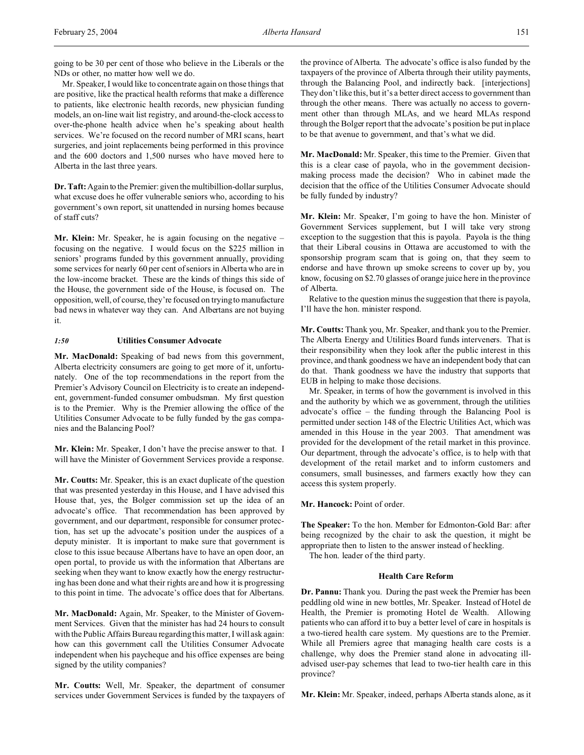going to be 30 per cent of those who believe in the Liberals or the NDs or other, no matter how well we do.

Mr. Speaker, I would like to concentrate again on those things that are positive, like the practical health reforms that make a difference to patients, like electronic health records, new physician funding models, an on-line wait list registry, and around-the-clock access to over-the-phone health advice when he's speaking about health services. We're focused on the record number of MRI scans, heart surgeries, and joint replacements being performed in this province and the 600 doctors and 1,500 nurses who have moved here to Alberta in the last three years.

**Dr. Taft:** Again to the Premier: given the multibillion-dollar surplus, what excuse does he offer vulnerable seniors who, according to his government's own report, sit unattended in nursing homes because of staff cuts?

**Mr. Klein:** Mr. Speaker, he is again focusing on the negative – focusing on the negative. I would focus on the \$225 million in seniors' programs funded by this government annually, providing some services for nearly 60 per cent of seniors in Alberta who are in the low-income bracket. These are the kinds of things this side of the House, the government side of the House, is focused on. The opposition, well, of course, they're focused on trying to manufacture bad news in whatever way they can. And Albertans are not buying it.

## *1:50* **Utilities Consumer Advocate**

**Mr. MacDonald:** Speaking of bad news from this government, Alberta electricity consumers are going to get more of it, unfortunately. One of the top recommendations in the report from the Premier's Advisory Council on Electricity is to create an independent, government-funded consumer ombudsman. My first question is to the Premier. Why is the Premier allowing the office of the Utilities Consumer Advocate to be fully funded by the gas companies and the Balancing Pool?

**Mr. Klein:** Mr. Speaker, I don't have the precise answer to that. I will have the Minister of Government Services provide a response.

**Mr. Coutts:** Mr. Speaker, this is an exact duplicate of the question that was presented yesterday in this House, and I have advised this House that, yes, the Bolger commission set up the idea of an advocate's office. That recommendation has been approved by government, and our department, responsible for consumer protection, has set up the advocate's position under the auspices of a deputy minister. It is important to make sure that government is close to this issue because Albertans have to have an open door, an open portal, to provide us with the information that Albertans are seeking when they want to know exactly how the energy restructuring has been done and what their rights are and how it is progressing to this point in time. The advocate's office does that for Albertans.

**Mr. MacDonald:** Again, Mr. Speaker, to the Minister of Government Services. Given that the minister has had 24 hours to consult with the Public Affairs Bureau regarding this matter, I will ask again: how can this government call the Utilities Consumer Advocate independent when his paycheque and his office expenses are being signed by the utility companies?

**Mr. Coutts:** Well, Mr. Speaker, the department of consumer services under Government Services is funded by the taxpayers of the province of Alberta. The advocate's office is also funded by the taxpayers of the province of Alberta through their utility payments, through the Balancing Pool, and indirectly back. [interjections] They don't like this, but it's a better direct access to government than through the other means. There was actually no access to government other than through MLAs, and we heard MLAs respond through the Bolger report that the advocate's position be put in place to be that avenue to government, and that's what we did.

**Mr. MacDonald:** Mr. Speaker, this time to the Premier. Given that this is a clear case of payola, who in the government decisionmaking process made the decision? Who in cabinet made the decision that the office of the Utilities Consumer Advocate should be fully funded by industry?

**Mr. Klein:** Mr. Speaker, I'm going to have the hon. Minister of Government Services supplement, but I will take very strong exception to the suggestion that this is payola. Payola is the thing that their Liberal cousins in Ottawa are accustomed to with the sponsorship program scam that is going on, that they seem to endorse and have thrown up smoke screens to cover up by, you know, focusing on \$2.70 glasses of orange juice here in the province of Alberta.

Relative to the question minus the suggestion that there is payola, I'll have the hon. minister respond.

**Mr. Coutts:** Thank you, Mr. Speaker, and thank you to the Premier. The Alberta Energy and Utilities Board funds interveners. That is their responsibility when they look after the public interest in this province, and thank goodness we have an independent body that can do that. Thank goodness we have the industry that supports that EUB in helping to make those decisions.

Mr. Speaker, in terms of how the government is involved in this and the authority by which we as government, through the utilities advocate's office – the funding through the Balancing Pool is permitted under section 148 of the Electric Utilities Act, which was amended in this House in the year 2003. That amendment was provided for the development of the retail market in this province. Our department, through the advocate's office, is to help with that development of the retail market and to inform customers and consumers, small businesses, and farmers exactly how they can access this system properly.

## **Mr. Hancock:** Point of order.

**The Speaker:** To the hon. Member for Edmonton-Gold Bar: after being recognized by the chair to ask the question, it might be appropriate then to listen to the answer instead of heckling.

The hon. leader of the third party.

## **Health Care Reform**

**Dr. Pannu:** Thank you. During the past week the Premier has been peddling old wine in new bottles, Mr. Speaker. Instead of Hotel de Health, the Premier is promoting Hotel de Wealth. Allowing patients who can afford it to buy a better level of care in hospitals is a two-tiered health care system. My questions are to the Premier. While all Premiers agree that managing health care costs is a challenge, why does the Premier stand alone in advocating illadvised user-pay schemes that lead to two-tier health care in this province?

**Mr. Klein:** Mr. Speaker, indeed, perhaps Alberta stands alone, as it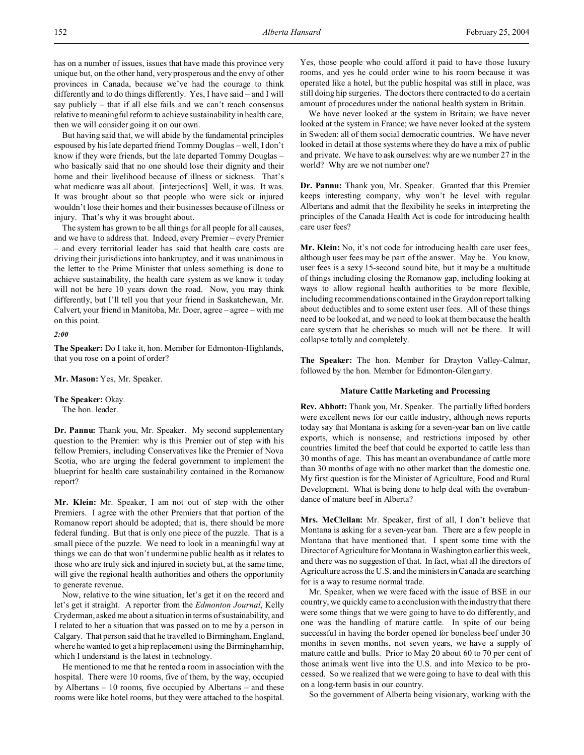has on a number of issues, issues that have made this province very unique but, on the other hand, very prosperous and the envy of other provinces in Canada, because we've had the courage to think differently and to do things differently. Yes, I have said – and I will say publicly – that if all else fails and we can't reach consensus relative to meaningful reform to achieve sustainability in health care, then we will consider going it on our own.

But having said that, we will abide by the fundamental principles espoused by his late departed friend Tommy Douglas – well, I don't know if they were friends, but the late departed Tommy Douglas – who basically said that no one should lose their dignity and their home and their livelihood because of illness or sickness. That's what medicare was all about. [interjections] Well, it was. It was. It was brought about so that people who were sick or injured wouldn't lose their homes and their businesses because of illness or injury. That's why it was brought about.

The system has grown to be all things for all people for all causes, and we have to address that. Indeed, every Premier – every Premier – and every territorial leader has said that health care costs are driving their jurisdictions into bankruptcy, and it was unanimous in the letter to the Prime Minister that unless something is done to achieve sustainability, the health care system as we know it today will not be here 10 years down the road. Now, you may think differently, but I'll tell you that your friend in Saskatchewan, Mr. Calvert, your friend in Manitoba, Mr. Doer, agree – agree – with me on this point.

*2:00*

**The Speaker:** Do I take it, hon. Member for Edmonton-Highlands, that you rose on a point of order?

**Mr. Mason:** Yes, Mr. Speaker.

**The Speaker:** Okay. The hon. leader.

**Dr. Pannu:** Thank you, Mr. Speaker. My second supplementary question to the Premier: why is this Premier out of step with his fellow Premiers, including Conservatives like the Premier of Nova Scotia, who are urging the federal government to implement the blueprint for health care sustainability contained in the Romanow report?

**Mr. Klein:** Mr. Speaker, I am not out of step with the other Premiers. I agree with the other Premiers that that portion of the Romanow report should be adopted; that is, there should be more federal funding. But that is only one piece of the puzzle. That is a small piece of the puzzle. We need to look in a meaningful way at things we can do that won't undermine public health as it relates to those who are truly sick and injured in society but, at the same time, will give the regional health authorities and others the opportunity to generate revenue.

Now, relative to the wine situation, let's get it on the record and let's get it straight. A reporter from the *Edmonton Journal*, Kelly Cryderman, asked me about a situation in terms of sustainability, and I related to her a situation that was passed on to me by a person in Calgary. That person said that he travelled to Birmingham, England, where he wanted to get a hip replacement using the Birmingham hip, which I understand is the latest in technology.

He mentioned to me that he rented a room in association with the hospital. There were 10 rooms, five of them, by the way, occupied by Albertans – 10 rooms, five occupied by Albertans – and these rooms were like hotel rooms, but they were attached to the hospital. Yes, those people who could afford it paid to have those luxury rooms, and yes he could order wine to his room because it was operated like a hotel, but the public hospital was still in place, was still doing hip surgeries. The doctors there contracted to do a certain amount of procedures under the national health system in Britain.

We have never looked at the system in Britain; we have never looked at the system in France; we have never looked at the system in Sweden: all of them social democratic countries. We have never looked in detail at those systems where they do have a mix of public and private. We have to ask ourselves: why are we number 27 in the world? Why are we not number one?

**Dr. Pannu:** Thank you, Mr. Speaker. Granted that this Premier keeps interesting company, why won't he level with regular Albertans and admit that the flexibility he seeks in interpreting the principles of the Canada Health Act is code for introducing health care user fees?

**Mr. Klein:** No, it's not code for introducing health care user fees, although user fees may be part of the answer. May be. You know, user fees is a sexy 15-second sound bite, but it may be a multitude of things including closing the Romanow gap, including looking at ways to allow regional health authorities to be more flexible, including recommendations contained in the Graydon report talking about deductibles and to some extent user fees. All of these things need to be looked at, and we need to look at them because the health care system that he cherishes so much will not be there. It will collapse totally and completely.

**The Speaker:** The hon. Member for Drayton Valley-Calmar, followed by the hon. Member for Edmonton-Glengarry.

## **Mature Cattle Marketing and Processing**

**Rev. Abbott:** Thank you, Mr. Speaker. The partially lifted borders were excellent news for our cattle industry, although news reports today say that Montana is asking for a seven-year ban on live cattle exports, which is nonsense, and restrictions imposed by other countries limited the beef that could be exported to cattle less than 30 months of age. This has meant an overabundance of cattle more than 30 months of age with no other market than the domestic one. My first question is for the Minister of Agriculture, Food and Rural Development. What is being done to help deal with the overabundance of mature beef in Alberta?

**Mrs. McClellan:** Mr. Speaker, first of all, I don't believe that Montana is asking for a seven-year ban. There are a few people in Montana that have mentioned that. I spent some time with the Director of Agriculture for Montana in Washington earlier this week, and there was no suggestion of that. In fact, what all the directors of Agriculture across the U.S. and the ministers in Canada are searching for is a way to resume normal trade.

Mr. Speaker, when we were faced with the issue of BSE in our country, we quickly came to a conclusion with the industry that there were some things that we were going to have to do differently, and one was the handling of mature cattle. In spite of our being successful in having the border opened for boneless beef under 30 months in seven months, not seven years, we have a supply of mature cattle and bulls. Prior to May 20 about 60 to 70 per cent of those animals went live into the U.S. and into Mexico to be processed. So we realized that we were going to have to deal with this on a long-term basis in our country.

So the government of Alberta being visionary, working with the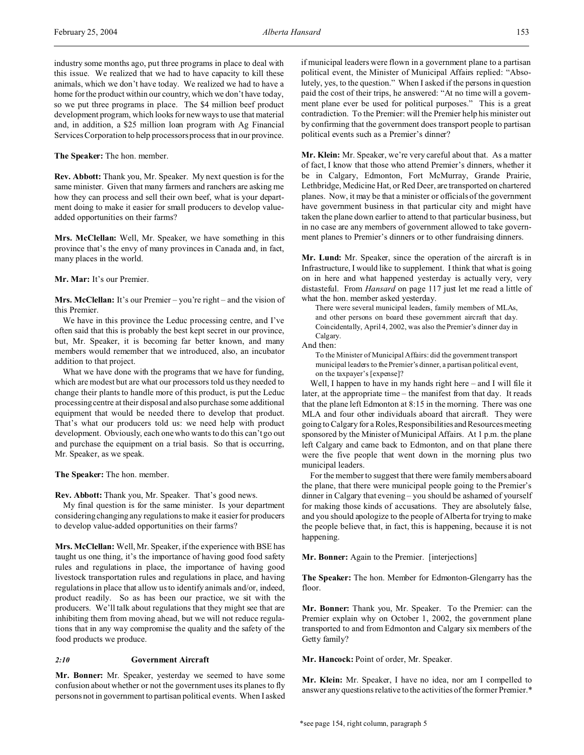industry some months ago, put three programs in place to deal with this issue. We realized that we had to have capacity to kill these animals, which we don't have today. We realized we had to have a home for the product within our country, which we don't have today, so we put three programs in place. The \$4 million beef product development program, which looks for new ways to use that material and, in addition, a \$25 million loan program with Ag Financial Services Corporation to help processors process that in our province.

**The Speaker:** The hon. member.

**Rev. Abbott:** Thank you, Mr. Speaker. My next question is for the same minister. Given that many farmers and ranchers are asking me how they can process and sell their own beef, what is your department doing to make it easier for small producers to develop valueadded opportunities on their farms?

**Mrs. McClellan:** Well, Mr. Speaker, we have something in this province that's the envy of many provinces in Canada and, in fact, many places in the world.

#### **Mr. Mar:** It's our Premier.

**Mrs. McClellan:** It's our Premier – you're right – and the vision of this Premier.

We have in this province the Leduc processing centre, and I've often said that this is probably the best kept secret in our province, but, Mr. Speaker, it is becoming far better known, and many members would remember that we introduced, also, an incubator addition to that project.

What we have done with the programs that we have for funding, which are modest but are what our processors told us they needed to change their plants to handle more of this product, is put the Leduc processing centre at their disposal and also purchase some additional equipment that would be needed there to develop that product. That's what our producers told us: we need help with product development. Obviously, each one who wants to do this can't go out and purchase the equipment on a trial basis. So that is occurring, Mr. Speaker, as we speak.

**The Speaker:** The hon. member.

**Rev. Abbott:** Thank you, Mr. Speaker. That's good news.

My final question is for the same minister. Is your department considering changing any regulations to make it easier for producers to develop value-added opportunities on their farms?

**Mrs. McClellan:** Well, Mr. Speaker, if the experience with BSE has taught us one thing, it's the importance of having good food safety rules and regulations in place, the importance of having good livestock transportation rules and regulations in place, and having regulations in place that allow us to identify animals and/or, indeed, product readily. So as has been our practice, we sit with the producers. We'll talk about regulations that they might see that are inhibiting them from moving ahead, but we will not reduce regulations that in any way compromise the quality and the safety of the food products we produce.

## *2:10* **Government Aircraft**

**Mr. Bonner:** Mr. Speaker, yesterday we seemed to have some confusion about whether or not the government uses its planes to fly persons not in government to partisan political events. When I asked if municipal leaders were flown in a government plane to a partisan political event, the Minister of Municipal Affairs replied: "Absolutely, yes, to the question." When I asked if the persons in question paid the cost of their trips, he answered: "At no time will a government plane ever be used for political purposes." This is a great contradiction. To the Premier: will the Premier help his minister out by confirming that the government does transport people to partisan political events such as a Premier's dinner?

**Mr. Klein:** Mr. Speaker, we're very careful about that. As a matter of fact, I know that those who attend Premier's dinners, whether it be in Calgary, Edmonton, Fort McMurray, Grande Prairie, Lethbridge, Medicine Hat, or Red Deer, are transported on chartered planes. Now, it may be that a minister or officials of the government have government business in that particular city and might have taken the plane down earlier to attend to that particular business, but in no case are any members of government allowed to take government planes to Premier's dinners or to other fundraising dinners.

**Mr. Lund:** Mr. Speaker, since the operation of the aircraft is in Infrastructure, I would like to supplement. I think that what is going on in here and what happened yesterday is actually very, very distasteful. From *Hansard* on page 117 just let me read a little of what the hon. member asked yesterday.

There were several municipal leaders, family members of MLAs, and other persons on board these government aircraft that day. Coincidentally, April 4, 2002, was also the Premier's dinner day in Calgary.

And then:

To the Minister of Municipal Affairs: did the government transport municipal leaders to the Premier's dinner, a partisan political event, on the taxpayer's [expense]?

Well, I happen to have in my hands right here – and I will file it later, at the appropriate time – the manifest from that day. It reads that the plane left Edmonton at 8:15 in the morning. There was one MLA and four other individuals aboard that aircraft. They were going to Calgary for a Roles, Responsibilities and Resources meeting sponsored by the Minister of Municipal Affairs. At 1 p.m. the plane left Calgary and came back to Edmonton, and on that plane there were the five people that went down in the morning plus two municipal leaders.

For the member to suggest that there were family members aboard the plane, that there were municipal people going to the Premier's dinner in Calgary that evening – you should be ashamed of yourself for making those kinds of accusations. They are absolutely false, and you should apologize to the people of Alberta for trying to make the people believe that, in fact, this is happening, because it is not happening.

**Mr. Bonner:** Again to the Premier. [interjections]

**The Speaker:** The hon. Member for Edmonton-Glengarry has the floor.

**Mr. Bonner:** Thank you, Mr. Speaker. To the Premier: can the Premier explain why on October 1, 2002, the government plane transported to and from Edmonton and Calgary six members of the Getty family?

**Mr. Hancock:** Point of order, Mr. Speaker.

**Mr. Klein:** Mr. Speaker, I have no idea, nor am I compelled to answer any questions relative to the activities of the former Premier.\*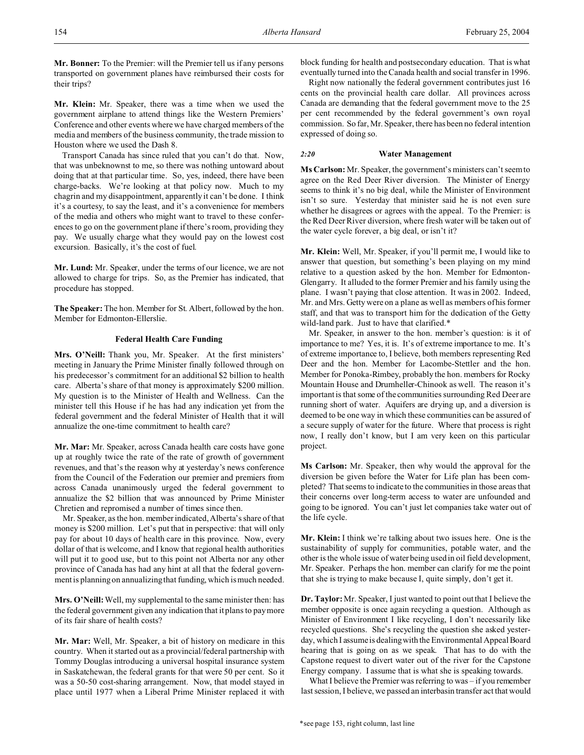**Mr. Bonner:** To the Premier: will the Premier tell us if any persons transported on government planes have reimbursed their costs for their trips?

**Mr. Klein:** Mr. Speaker, there was a time when we used the government airplane to attend things like the Western Premiers' Conference and other events where we have charged members of the media and members of the business community, the trade mission to Houston where we used the Dash 8.

Transport Canada has since ruled that you can't do that. Now, that was unbeknownst to me, so there was nothing untoward about doing that at that particular time. So, yes, indeed, there have been charge-backs. We're looking at that policy now. Much to my chagrin and my disappointment, apparently it can't be done. I think it's a courtesy, to say the least, and it's a convenience for members of the media and others who might want to travel to these conferences to go on the government plane if there's room, providing they pay. We usually charge what they would pay on the lowest cost excursion. Basically, it's the cost of fuel.

**Mr. Lund:** Mr. Speaker, under the terms of our licence, we are not allowed to charge for trips. So, as the Premier has indicated, that procedure has stopped.

**The Speaker:** The hon. Member for St. Albert, followed by the hon. Member for Edmonton-Ellerslie.

## **Federal Health Care Funding**

**Mrs. O'Neill:** Thank you, Mr. Speaker. At the first ministers' meeting in January the Prime Minister finally followed through on his predecessor's commitment for an additional \$2 billion to health care. Alberta's share of that money is approximately \$200 million. My question is to the Minister of Health and Wellness. Can the minister tell this House if he has had any indication yet from the federal government and the federal Minister of Health that it will annualize the one-time commitment to health care?

**Mr. Mar:** Mr. Speaker, across Canada health care costs have gone up at roughly twice the rate of the rate of growth of government revenues, and that's the reason why at yesterday's news conference from the Council of the Federation our premier and premiers from across Canada unanimously urged the federal government to annualize the \$2 billion that was announced by Prime Minister Chretien and repromised a number of times since then.

Mr. Speaker, as the hon. member indicated, Alberta's share of that money is \$200 million. Let's put that in perspective: that will only pay for about 10 days of health care in this province. Now, every dollar of that is welcome, and I know that regional health authorities will put it to good use, but to this point not Alberta nor any other province of Canada has had any hint at all that the federal government is planning on annualizing that funding, which is much needed.

**Mrs. O'Neill:**Well, my supplemental to the same minister then: has the federal government given any indication that it plans to pay more of its fair share of health costs?

**Mr. Mar:** Well, Mr. Speaker, a bit of history on medicare in this country. When it started out as a provincial/federal partnership with Tommy Douglas introducing a universal hospital insurance system in Saskatchewan, the federal grants for that were 50 per cent. So it was a 50-50 cost-sharing arrangement. Now, that model stayed in place until 1977 when a Liberal Prime Minister replaced it with block funding for health and postsecondary education. That is what eventually turned into the Canada health and social transfer in 1996.

Right now nationally the federal government contributes just 16 cents on the provincial health care dollar. All provinces across Canada are demanding that the federal government move to the 25 per cent recommended by the federal government's own royal commission. So far, Mr. Speaker, there has been no federal intention expressed of doing so.

#### *2:20* **Water Management**

**Ms Carlson:** Mr. Speaker, the government's ministers can't seem to agree on the Red Deer River diversion. The Minister of Energy seems to think it's no big deal, while the Minister of Environment isn't so sure. Yesterday that minister said he is not even sure whether he disagrees or agrees with the appeal. To the Premier: is the Red Deer River diversion, where fresh water will be taken out of the water cycle forever, a big deal, or isn't it?

**Mr. Klein:** Well, Mr. Speaker, if you'll permit me, I would like to answer that question, but something's been playing on my mind relative to a question asked by the hon. Member for Edmonton-Glengarry. It alluded to the former Premier and his family using the plane. I wasn't paying that close attention. It was in 2002. Indeed, Mr. and Mrs. Getty were on a plane as well as members of his former staff, and that was to transport him for the dedication of the Getty wild-land park. Just to have that clarified.\*

Mr. Speaker, in answer to the hon. member's question: is it of importance to me? Yes, it is. It's of extreme importance to me. It's of extreme importance to, I believe, both members representing Red Deer and the hon. Member for Lacombe-Stettler and the hon. Member for Ponoka-Rimbey, probably the hon. members for Rocky Mountain House and Drumheller-Chinook as well. The reason it's important is that some of the communities surrounding Red Deer are running short of water. Aquifers are drying up, and a diversion is deemed to be one way in which these communities can be assured of a secure supply of water for the future. Where that process is right now, I really don't know, but I am very keen on this particular project.

**Ms Carlson:** Mr. Speaker, then why would the approval for the diversion be given before the Water for Life plan has been completed? That seems to indicate to the communities in those areas that their concerns over long-term access to water are unfounded and going to be ignored. You can't just let companies take water out of the life cycle.

**Mr. Klein:** I think we're talking about two issues here. One is the sustainability of supply for communities, potable water, and the other is the whole issue of water being used in oil field development, Mr. Speaker. Perhaps the hon. member can clarify for me the point that she is trying to make because I, quite simply, don't get it.

**Dr. Taylor:**Mr. Speaker, I just wanted to point out that I believe the member opposite is once again recycling a question. Although as Minister of Environment I like recycling, I don't necessarily like recycled questions. She's recycling the question she asked yesterday, which I assume is dealing with the Environmental Appeal Board hearing that is going on as we speak. That has to do with the Capstone request to divert water out of the river for the Capstone Energy company. I assume that is what she is speaking towards.

What I believe the Premier was referring to was – if you remember last session, I believe, we passed an interbasin transfer act that would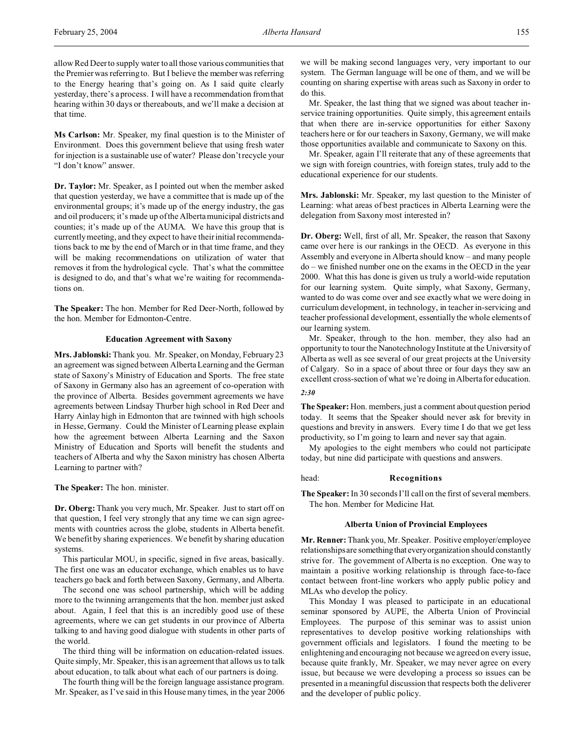allow Red Deer to supply water to all those various communities that the Premier was referring to. But I believe the member was referring to the Energy hearing that's going on. As I said quite clearly yesterday, there's a process. I will have a recommendation from that hearing within 30 days or thereabouts, and we'll make a decision at that time.

**Ms Carlson:** Mr. Speaker, my final question is to the Minister of Environment. Does this government believe that using fresh water for injection is a sustainable use of water? Please don't recycle your "I don't know" answer.

**Dr. Taylor:** Mr. Speaker, as I pointed out when the member asked that question yesterday, we have a committee that is made up of the environmental groups; it's made up of the energy industry, the gas and oil producers; it's made up of the Alberta municipal districts and counties; it's made up of the AUMA. We have this group that is currently meeting, and they expect to have their initial recommendations back to me by the end of March or in that time frame, and they will be making recommendations on utilization of water that removes it from the hydrological cycle. That's what the committee is designed to do, and that's what we're waiting for recommendations on.

**The Speaker:** The hon. Member for Red Deer-North, followed by the hon. Member for Edmonton-Centre.

## **Education Agreement with Saxony**

**Mrs. Jablonski:** Thank you. Mr. Speaker, on Monday, February 23 an agreement was signed between Alberta Learning and the German state of Saxony's Ministry of Education and Sports. The free state of Saxony in Germany also has an agreement of co-operation with the province of Alberta. Besides government agreements we have agreements between Lindsay Thurber high school in Red Deer and Harry Ainlay high in Edmonton that are twinned with high schools in Hesse, Germany. Could the Minister of Learning please explain how the agreement between Alberta Learning and the Saxon Ministry of Education and Sports will benefit the students and teachers of Alberta and why the Saxon ministry has chosen Alberta Learning to partner with?

**The Speaker:** The hon. minister.

**Dr. Oberg:** Thank you very much, Mr. Speaker. Just to start off on that question, I feel very strongly that any time we can sign agreements with countries across the globe, students in Alberta benefit. We benefit by sharing experiences. We benefit by sharing education systems.

This particular MOU, in specific, signed in five areas, basically. The first one was an educator exchange, which enables us to have teachers go back and forth between Saxony, Germany, and Alberta.

The second one was school partnership, which will be adding more to the twinning arrangements that the hon. member just asked about. Again, I feel that this is an incredibly good use of these agreements, where we can get students in our province of Alberta talking to and having good dialogue with students in other parts of the world.

The third thing will be information on education-related issues. Quite simply, Mr. Speaker, this is an agreement that allows us to talk about education, to talk about what each of our partners is doing.

The fourth thing will be the foreign language assistance program. Mr. Speaker, as I've said in this House many times, in the year 2006 we will be making second languages very, very important to our system. The German language will be one of them, and we will be counting on sharing expertise with areas such as Saxony in order to do this.

Mr. Speaker, the last thing that we signed was about teacher inservice training opportunities. Quite simply, this agreement entails that when there are in-service opportunities for either Saxony teachers here or for our teachers in Saxony, Germany, we will make those opportunities available and communicate to Saxony on this.

Mr. Speaker, again I'll reiterate that any of these agreements that we sign with foreign countries, with foreign states, truly add to the educational experience for our students.

**Mrs. Jablonski:** Mr. Speaker, my last question to the Minister of Learning: what areas of best practices in Alberta Learning were the delegation from Saxony most interested in?

**Dr. Oberg:** Well, first of all, Mr. Speaker, the reason that Saxony came over here is our rankings in the OECD. As everyone in this Assembly and everyone in Alberta should know – and many people do – we finished number one on the exams in the OECD in the year 2000. What this has done is given us truly a world-wide reputation for our learning system. Quite simply, what Saxony, Germany, wanted to do was come over and see exactly what we were doing in curriculum development, in technology, in teacher in-servicing and teacher professional development, essentially the whole elements of our learning system.

Mr. Speaker, through to the hon. member, they also had an opportunity to tour the Nanotechnology Institute at the University of Alberta as well as see several of our great projects at the University of Calgary. So in a space of about three or four days they saw an excellent cross-section of what we're doing in Alberta for education. *2:30*

**The Speaker:** Hon. members, just a comment about question period today. It seems that the Speaker should never ask for brevity in questions and brevity in answers. Every time I do that we get less productivity, so I'm going to learn and never say that again.

My apologies to the eight members who could not participate today, but nine did participate with questions and answers.

#### head: **Recognitions**

**The Speaker:** In 30 seconds I'll call on the first of several members. The hon. Member for Medicine Hat.

#### **Alberta Union of Provincial Employees**

**Mr. Renner:** Thank you, Mr. Speaker. Positive employer/employee relationships are somethingthat everyorganization should constantly strive for. The government of Alberta is no exception. One way to maintain a positive working relationship is through face-to-face contact between front-line workers who apply public policy and MLAs who develop the policy.

This Monday I was pleased to participate in an educational seminar sponsored by AUPE, the Alberta Union of Provincial Employees. The purpose of this seminar was to assist union representatives to develop positive working relationships with government officials and legislators. I found the meeting to be enlightening and encouraging not because we agreed on every issue, because quite frankly, Mr. Speaker, we may never agree on every issue, but because we were developing a process so issues can be presented in a meaningful discussion that respects both the deliverer and the developer of public policy.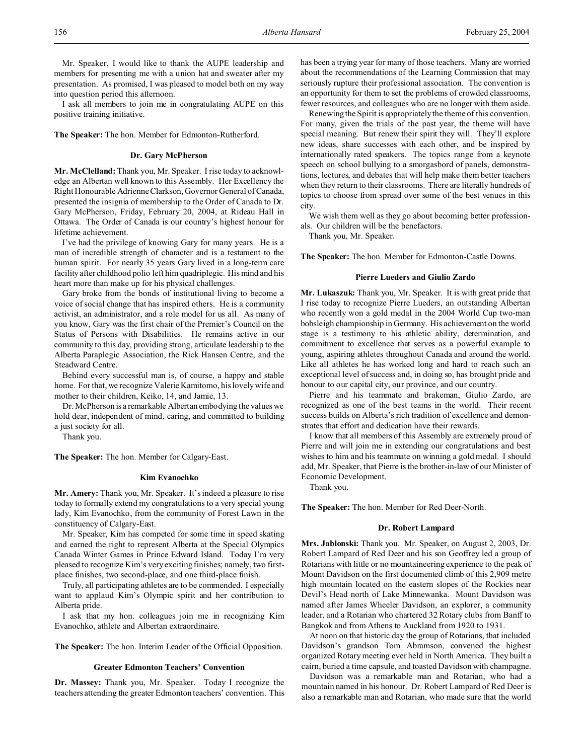Mr. Speaker, I would like to thank the AUPE leadership and members for presenting me with a union hat and sweater after my presentation. As promised, I was pleased to model both on my way into question period this afternoon.

I ask all members to join me in congratulating AUPE on this positive training initiative.

**The Speaker:** The hon. Member for Edmonton-Rutherford.

## **Dr. Gary McPherson**

**Mr. McClelland:** Thank you, Mr. Speaker. I rise today to acknowledge an Albertan well known to this Assembly. Her Excellency the Right Honourable Adrienne Clarkson, Governor General of Canada, presented the insignia of membership to the Order of Canada to Dr. Gary McPherson, Friday, February 20, 2004, at Rideau Hall in Ottawa. The Order of Canada is our country's highest honour for lifetime achievement.

I've had the privilege of knowing Gary for many years. He is a man of incredible strength of character and is a testament to the human spirit. For nearly 35 years Gary lived in a long-term care facility after childhood polio left him quadriplegic. His mind and his heart more than make up for his physical challenges.

Gary broke from the bonds of institutional living to become a voice of social change that has inspired others. He is a community activist, an administrator, and a role model for us all. As many of you know, Gary was the first chair of the Premier's Council on the Status of Persons with Disabilities. He remains active in our community to this day, providing strong, articulate leadership to the Alberta Paraplegic Association, the Rick Hansen Centre, and the Steadward Centre.

Behind every successful man is, of course, a happy and stable home. For that, we recognize Valerie Kamitomo, his lovely wife and mother to their children, Keiko, 14, and Jamie, 13.

Dr. McPherson is a remarkable Albertan embodying the values we hold dear, independent of mind, caring, and committed to building a just society for all.

Thank you.

**The Speaker:** The hon. Member for Calgary-East.

## **Kim Evanochko**

**Mr. Amery:** Thank you, Mr. Speaker. It's indeed a pleasure to rise today to formally extend my congratulations to a very special young lady, Kim Evanochko, from the community of Forest Lawn in the constituency of Calgary-East.

Mr. Speaker, Kim has competed for some time in speed skating and earned the right to represent Alberta at the Special Olympics Canada Winter Games in Prince Edward Island. Today I'm very pleased to recognize Kim's very exciting finishes; namely, two firstplace finishes, two second-place, and one third-place finish.

Truly, all participating athletes are to be commended. I especially want to applaud Kim's Olympic spirit and her contribution to Alberta pride.

I ask that my hon. colleagues join me in recognizing Kim Evanochko, athlete and Albertan extraordinaire.

**The Speaker:** The hon. Interim Leader of the Official Opposition.

#### **Greater Edmonton Teachers' Convention**

**Dr. Massey:** Thank you, Mr. Speaker. Today I recognize the teachers attending the greater Edmonton teachers' convention. This has been a trying year for many of those teachers. Many are worried about the recommendations of the Learning Commission that may seriously rupture their professional association. The convention is an opportunity for them to set the problems of crowded classrooms, fewer resources, and colleagues who are no longer with them aside.

Renewing the Spirit is appropriately the theme of this convention. For many, given the trials of the past year, the theme will have special meaning. But renew their spirit they will. They'll explore new ideas, share successes with each other, and be inspired by internationally rated speakers. The topics range from a keynote speech on school bullying to a smorgasbord of panels, demonstrations, lectures, and debates that will help make them better teachers when they return to their classrooms. There are literally hundreds of topics to choose from spread over some of the best venues in this city.

We wish them well as they go about becoming better professionals. Our children will be the benefactors.

Thank you, Mr. Speaker.

**The Speaker:** The hon. Member for Edmonton-Castle Downs.

## **Pierre Lueders and Giulio Zardo**

**Mr. Lukaszuk:** Thank you, Mr. Speaker. It is with great pride that I rise today to recognize Pierre Lueders, an outstanding Albertan who recently won a gold medal in the 2004 World Cup two-man bobsleigh championship in Germany. His achievement on the world stage is a testimony to his athletic ability, determination, and commitment to excellence that serves as a powerful example to young, aspiring athletes throughout Canada and around the world. Like all athletes he has worked long and hard to reach such an exceptional level of success and, in doing so, has brought pride and honour to our capital city, our province, and our country.

Pierre and his teammate and brakeman, Giulio Zardo, are recognized as one of the best teams in the world. Their recent success builds on Alberta's rich tradition of excellence and demonstrates that effort and dedication have their rewards.

I know that all members of this Assembly are extremely proud of Pierre and will join me in extending our congratulations and best wishes to him and his teammate on winning a gold medal. I should add, Mr. Speaker, that Pierre is the brother-in-law of our Minister of Economic Development.

Thank you.

**The Speaker:** The hon. Member for Red Deer-North.

#### **Dr. Robert Lampard**

**Mrs. Jablonski:** Thank you. Mr. Speaker, on August 2, 2003, Dr. Robert Lampard of Red Deer and his son Geoffrey led a group of Rotarians with little or no mountaineering experience to the peak of Mount Davidson on the first documented climb of this 2,909 metre high mountain located on the eastern slopes of the Rockies near Devil's Head north of Lake Minnewanka. Mount Davidson was named after James Wheeler Davidson, an explorer, a community leader, and a Rotarian who chartered 32 Rotary clubs from Banff to Bangkok and from Athens to Auckland from 1920 to 1931.

At noon on that historic day the group of Rotarians, that included Davidson's grandson Tom Abramson, convened the highest organized Rotary meeting ever held in North America. They built a cairn, buried a time capsule, and toasted Davidson with champagne.

Davidson was a remarkable man and Rotarian, who had a mountain named in his honour. Dr. Robert Lampard of Red Deer is also a remarkable man and Rotarian, who made sure that the world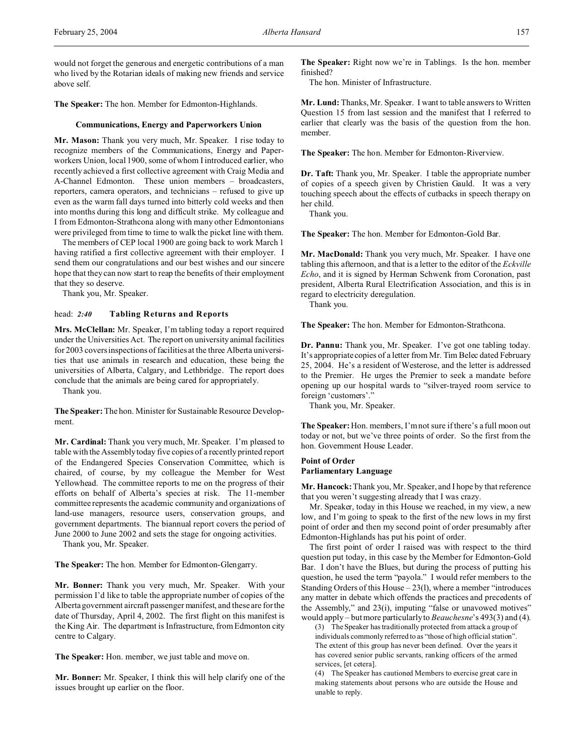would not forget the generous and energetic contributions of a man who lived by the Rotarian ideals of making new friends and service above self.

**The Speaker:** The hon. Member for Edmonton-Highlands.

#### **Communications, Energy and Paperworkers Union**

**Mr. Mason:** Thank you very much, Mr. Speaker. I rise today to recognize members of the Communications, Energy and Paperworkers Union, local 1900, some of whom I introduced earlier, who recently achieved a first collective agreement with Craig Media and A-Channel Edmonton. These union members – broadcasters, reporters, camera operators, and technicians – refused to give up even as the warm fall days turned into bitterly cold weeks and then into months during this long and difficult strike. My colleague and I from Edmonton-Strathcona along with many other Edmontonians were privileged from time to time to walk the picket line with them.

The members of CEP local 1900 are going back to work March 1 having ratified a first collective agreement with their employer. I send them our congratulations and our best wishes and our sincere hope that they can now start to reap the benefits of their employment that they so deserve.

Thank you, Mr. Speaker.

## head: *2:40* **Tabling Returns and Reports**

**Mrs. McClellan:** Mr. Speaker, I'm tabling today a report required under the Universities Act. The report on university animal facilities for 2003 covers inspections of facilities at the three Alberta universities that use animals in research and education, these being the universities of Alberta, Calgary, and Lethbridge. The report does conclude that the animals are being cared for appropriately.

Thank you.

**The Speaker:** The hon. Minister for Sustainable Resource Development.

**Mr. Cardinal:** Thank you very much, Mr. Speaker. I'm pleased to table with the Assembly today five copies of a recently printed report of the Endangered Species Conservation Committee, which is chaired, of course, by my colleague the Member for West Yellowhead. The committee reports to me on the progress of their efforts on behalf of Alberta's species at risk. The 11-member committee represents the academic community and organizations of land-use managers, resource users, conservation groups, and government departments. The biannual report covers the period of June 2000 to June 2002 and sets the stage for ongoing activities.

Thank you, Mr. Speaker.

**The Speaker:** The hon. Member for Edmonton-Glengarry.

**Mr. Bonner:** Thank you very much, Mr. Speaker. With your permission I'd like to table the appropriate number of copies of the Alberta government aircraft passenger manifest, and these are for the date of Thursday, April 4, 2002. The first flight on this manifest is the King Air. The department is Infrastructure, from Edmonton city centre to Calgary.

**The Speaker:** Hon. member, we just table and move on.

**Mr. Bonner:** Mr. Speaker, I think this will help clarify one of the issues brought up earlier on the floor.

**The Speaker:** Right now we're in Tablings. Is the hon. member finished?

The hon. Minister of Infrastructure.

**Mr. Lund:** Thanks, Mr. Speaker. I want to table answers to Written Question 15 from last session and the manifest that I referred to earlier that clearly was the basis of the question from the hon. member.

**The Speaker:** The hon. Member for Edmonton-Riverview.

**Dr. Taft:** Thank you, Mr. Speaker. I table the appropriate number of copies of a speech given by Christien Gauld. It was a very touching speech about the effects of cutbacks in speech therapy on her child.

Thank you.

**The Speaker:** The hon. Member for Edmonton-Gold Bar.

**Mr. MacDonald:** Thank you very much, Mr. Speaker. I have one tabling this afternoon, and that is a letter to the editor of the *Eckville Echo*, and it is signed by Herman Schwenk from Coronation, past president, Alberta Rural Electrification Association, and this is in regard to electricity deregulation.

Thank you.

**The Speaker:** The hon. Member for Edmonton-Strathcona.

**Dr. Pannu:** Thank you, Mr. Speaker. I've got one tabling today. It's appropriate copies of a letter from Mr. Tim Belec dated February 25, 2004. He's a resident of Westerose, and the letter is addressed to the Premier. He urges the Premier to seek a mandate before opening up our hospital wards to "silver-trayed room service to foreign 'customers'."

Thank you, Mr. Speaker.

**The Speaker:**Hon. members, I'm not sure if there's a full moon out today or not, but we've three points of order. So the first from the hon. Government House Leader.

## **Point of Order Parliamentary Language**

**Mr. Hancock:** Thank you, Mr. Speaker, and I hope by that reference that you weren't suggesting already that I was crazy.

Mr. Speaker, today in this House we reached, in my view, a new low, and I'm going to speak to the first of the new lows in my first point of order and then my second point of order presumably after Edmonton-Highlands has put his point of order.

The first point of order I raised was with respect to the third question put today, in this case by the Member for Edmonton-Gold Bar. I don't have the Blues, but during the process of putting his question, he used the term "payola." I would refer members to the Standing Orders of this House  $-23(1)$ , where a member "introduces" any matter in debate which offends the practices and precedents of the Assembly," and 23(i), imputing "false or unavowed motives" would apply – but more particularly to *Beauchesne*'s 493(3) and (4).

(3) The Speaker has traditionally protected from attack a group of individuals commonly referred to as "those of high official station". The extent of this group has never been defined. Over the years it has covered senior public servants, ranking officers of the armed services, [et cetera].

(4) The Speaker has cautioned Members to exercise great care in making statements about persons who are outside the House and unable to reply.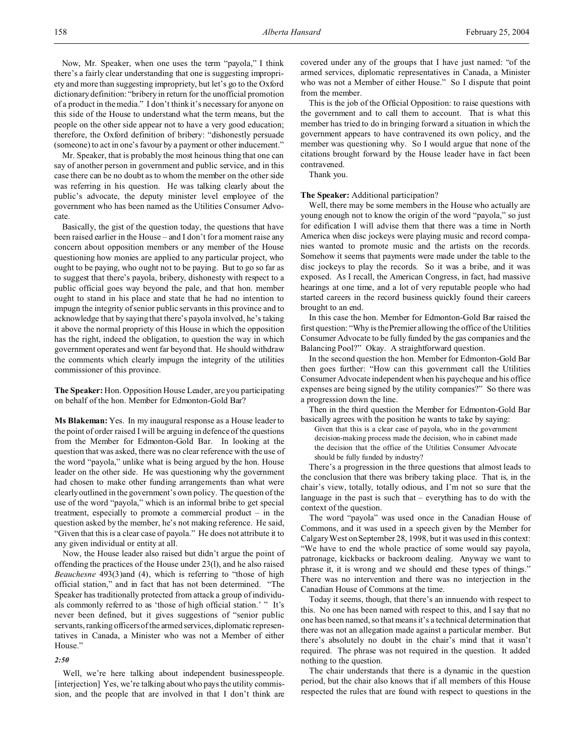Now, Mr. Speaker, when one uses the term "payola," I think there's a fairly clear understanding that one is suggesting impropriety and more than suggesting impropriety, but let's go to the Oxford dictionary definition: "bribery in return for the unofficial promotion of a product in the media." I don't think it's necessary for anyone on this side of the House to understand what the term means, but the people on the other side appear not to have a very good education; therefore, the Oxford definition of bribery: "dishonestly persuade (someone) to act in one's favour by a payment or other inducement."

Mr. Speaker, that is probably the most heinous thing that one can say of another person in government and public service, and in this case there can be no doubt as to whom the member on the other side was referring in his question. He was talking clearly about the public's advocate, the deputy minister level employee of the government who has been named as the Utilities Consumer Advocate.

Basically, the gist of the question today, the questions that have been raised earlier in the House – and I don't for a moment raise any concern about opposition members or any member of the House questioning how monies are applied to any particular project, who ought to be paying, who ought not to be paying. But to go so far as to suggest that there's payola, bribery, dishonesty with respect to a public official goes way beyond the pale, and that hon. member ought to stand in his place and state that he had no intention to impugn the integrity of senior public servants in this province and to acknowledge that by saying that there's payola involved, he's taking it above the normal propriety of this House in which the opposition has the right, indeed the obligation, to question the way in which government operates and went far beyond that. He should withdraw the comments which clearly impugn the integrity of the utilities commissioner of this province.

**The Speaker:** Hon. Opposition House Leader, are you participating on behalf of the hon. Member for Edmonton-Gold Bar?

**Ms Blakeman:** Yes. In my inaugural response as a House leader to the point of order raised I will be arguing in defence of the questions from the Member for Edmonton-Gold Bar. In looking at the question that was asked, there was no clear reference with the use of the word "payola," unlike what is being argued by the hon. House leader on the other side. He was questioning why the government had chosen to make other funding arrangements than what were clearly outlined in the government's own policy. The question of the use of the word "payola," which is an informal bribe to get special treatment, especially to promote a commercial product – in the question asked by the member, he's not making reference. He said, "Given that this is a clear case of payola." He does not attribute it to any given individual or entity at all.

Now, the House leader also raised but didn't argue the point of offending the practices of the House under 23(l), and he also raised *Beauchesne* 493(3)and (4), which is referring to "those of high official station," and in fact that has not been determined. "The Speaker has traditionally protected from attack a group of individuals commonly referred to as 'those of high official station.' " It's never been defined, but it gives suggestions of "senior public servants, ranking officers of the armed services, diplomatic representatives in Canada, a Minister who was not a Member of either House."

*2:50*

Well, we're here talking about independent businesspeople. [interjection] Yes, we're talking about who pays the utility commission, and the people that are involved in that I don't think are covered under any of the groups that I have just named: "of the armed services, diplomatic representatives in Canada, a Minister who was not a Member of either House." So I dispute that point from the member.

This is the job of the Official Opposition: to raise questions with the government and to call them to account. That is what this member has tried to do in bringing forward a situation in which the government appears to have contravened its own policy, and the member was questioning why. So I would argue that none of the citations brought forward by the House leader have in fact been contravened.

Thank you.

**The Speaker:** Additional participation?

Well, there may be some members in the House who actually are young enough not to know the origin of the word "payola," so just for edification I will advise them that there was a time in North America when disc jockeys were playing music and record companies wanted to promote music and the artists on the records. Somehow it seems that payments were made under the table to the disc jockeys to play the records. So it was a bribe, and it was exposed. As I recall, the American Congress, in fact, had massive hearings at one time, and a lot of very reputable people who had started careers in the record business quickly found their careers brought to an end.

In this case the hon. Member for Edmonton-Gold Bar raised the first question: "Why is the Premier allowing the office of the Utilities Consumer Advocate to be fully funded by the gas companies and the Balancing Pool?" Okay. A straightforward question.

In the second question the hon. Member for Edmonton-Gold Bar then goes further: "How can this government call the Utilities Consumer Advocate independent when his paycheque and his office expenses are being signed by the utility companies?" So there was a progression down the line.

Then in the third question the Member for Edmonton-Gold Bar basically agrees with the position he wants to take by saying:

Given that this is a clear case of payola, who in the government decision-making process made the decision, who in cabinet made the decision that the office of the Utilities Consumer Advocate should be fully funded by industry?

There's a progression in the three questions that almost leads to the conclusion that there was bribery taking place. That is, in the chair's view, totally, totally odious, and I'm not so sure that the language in the past is such that – everything has to do with the context of the question.

The word "payola" was used once in the Canadian House of Commons, and it was used in a speech given by the Member for Calgary West on September 28, 1998, but it was used in this context: "We have to end the whole practice of some would say payola, patronage, kickbacks or backroom dealing. Anyway we want to phrase it, it is wrong and we should end these types of things." There was no intervention and there was no interjection in the Canadian House of Commons at the time.

Today it seems, though, that there's an innuendo with respect to this. No one has been named with respect to this, and I say that no one has been named, so that means it's a technical determination that there was not an allegation made against a particular member. But there's absolutely no doubt in the chair's mind that it wasn't required. The phrase was not required in the question. It added nothing to the question.

The chair understands that there is a dynamic in the question period, but the chair also knows that if all members of this House respected the rules that are found with respect to questions in the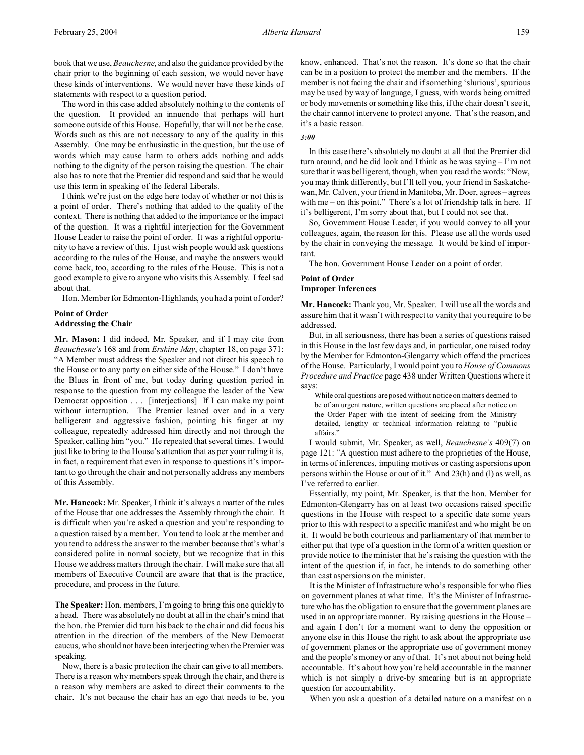The word in this case added absolutely nothing to the contents of the question. It provided an innuendo that perhaps will hurt someone outside of this House. Hopefully, that will not be the case. Words such as this are not necessary to any of the quality in this Assembly. One may be enthusiastic in the question, but the use of words which may cause harm to others adds nothing and adds nothing to the dignity of the person raising the question. The chair also has to note that the Premier did respond and said that he would use this term in speaking of the federal Liberals.

I think we're just on the edge here today of whether or not this is a point of order. There's nothing that added to the quality of the context. There is nothing that added to the importance or the impact of the question. It was a rightful interjection for the Government House Leader to raise the point of order. It was a rightful opportunity to have a review of this. I just wish people would ask questions according to the rules of the House, and maybe the answers would come back, too, according to the rules of the House. This is not a good example to give to anyone who visits this Assembly. I feel sad about that.

Hon. Member for Edmonton-Highlands, you had a point of order?

# **Point of Order**

## **Addressing the Chair**

**Mr. Mason:** I did indeed, Mr. Speaker, and if I may cite from *Beauchesne's* 168 and from *Erskine May*, chapter 18, on page 371: "A Member must address the Speaker and not direct his speech to the House or to any party on either side of the House." I don't have the Blues in front of me, but today during question period in response to the question from my colleague the leader of the New Democrat opposition . . . [interjections] If I can make my point without interruption. The Premier leaned over and in a very belligerent and aggressive fashion, pointing his finger at my colleague, repeatedly addressed him directly and not through the Speaker, calling him "you." He repeated that several times. I would just like to bring to the House's attention that as per your ruling it is, in fact, a requirement that even in response to questions it's important to go through the chair and not personally address any members of this Assembly.

**Mr. Hancock:** Mr. Speaker, I think it's always a matter of the rules of the House that one addresses the Assembly through the chair. It is difficult when you're asked a question and you're responding to a question raised by a member. You tend to look at the member and you tend to address the answer to the member because that's what's considered polite in normal society, but we recognize that in this House we address matters through the chair. I will make sure that all members of Executive Council are aware that that is the practice, procedure, and process in the future.

**The Speaker:** Hon. members, I'm going to bring this one quickly to a head. There was absolutely no doubt at all in the chair's mind that the hon. the Premier did turn his back to the chair and did focus his attention in the direction of the members of the New Democrat caucus, who should not have been interjecting when the Premier was speaking.

Now, there is a basic protection the chair can give to all members. There is a reason why members speak through the chair, and there is a reason why members are asked to direct their comments to the chair. It's not because the chair has an ego that needs to be, you know, enhanced. That's not the reason. It's done so that the chair can be in a position to protect the member and the members. If the member is not facing the chair and if something 'slurious', spurious may be used by way of language, I guess, with words being omitted or body movements or something like this, if the chair doesn't see it, the chair cannot intervene to protect anyone. That's the reason, and it's a basic reason.

## *3:00*

In this case there's absolutely no doubt at all that the Premier did turn around, and he did look and I think as he was saying – I'm not sure that it was belligerent, though, when you read the words: "Now, you may think differently, but I'll tell you, your friend in Saskatchewan, Mr. Calvert, your friend in Manitoba, Mr. Doer, agrees – agrees with me – on this point." There's a lot of friendship talk in here. If it's belligerent, I'm sorry about that, but I could not see that.

So, Government House Leader, if you would convey to all your colleagues, again, the reason for this. Please use all the words used by the chair in conveying the message. It would be kind of important.

The hon. Government House Leader on a point of order.

## **Point of Order Improper Inferences**

**Mr. Hancock:** Thank you, Mr. Speaker. I will use all the words and assure him that it wasn't with respect to vanity that you require to be addressed.

But, in all seriousness, there has been a series of questions raised in this House in the last few days and, in particular, one raised today by the Member for Edmonton-Glengarry which offend the practices of the House. Particularly, I would point you to *House of Commons Procedure and Practice* page 438 under Written Questions where it says:

While oral questions are posed without notice on matters deemed to be of an urgent nature, written questions are placed after notice on the Order Paper with the intent of seeking from the Ministry detailed, lengthy or technical information relating to "public affairs."

I would submit, Mr. Speaker, as well, *Beauchesne's* 409(7) on page 121: "A question must adhere to the proprieties of the House, in terms of inferences, imputing motives or casting aspersions upon persons within the House or out of it." And 23(h) and (l) as well, as I've referred to earlier.

Essentially, my point, Mr. Speaker, is that the hon. Member for Edmonton-Glengarry has on at least two occasions raised specific questions in the House with respect to a specific date some years prior to this with respect to a specific manifest and who might be on it. It would be both courteous and parliamentary of that member to either put that type of a question in the form of a written question or provide notice to the minister that he's raising the question with the intent of the question if, in fact, he intends to do something other than cast aspersions on the minister.

It is the Minister of Infrastructure who's responsible for who flies on government planes at what time. It's the Minister of Infrastructure who has the obligation to ensure that the government planes are used in an appropriate manner. By raising questions in the House – and again I don't for a moment want to deny the opposition or anyone else in this House the right to ask about the appropriate use of government planes or the appropriate use of government money and the people's money or any of that. It's not about not being held accountable. It's about how you're held accountable in the manner which is not simply a drive-by smearing but is an appropriate question for accountability.

When you ask a question of a detailed nature on a manifest on a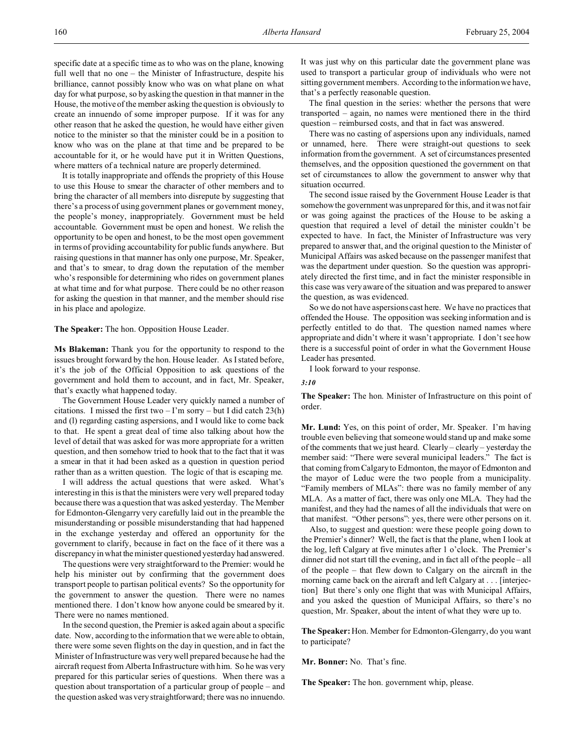specific date at a specific time as to who was on the plane, knowing full well that no one – the Minister of Infrastructure, despite his brilliance, cannot possibly know who was on what plane on what day for what purpose, so by asking the question in that manner in the House, the motive of the member asking the question is obviously to create an innuendo of some improper purpose. If it was for any other reason that he asked the question, he would have either given notice to the minister so that the minister could be in a position to know who was on the plane at that time and be prepared to be accountable for it, or he would have put it in Written Questions, where matters of a technical nature are properly determined.

It is totally inappropriate and offends the propriety of this House to use this House to smear the character of other members and to bring the character of all members into disrepute by suggesting that there's a process of using government planes or government money, the people's money, inappropriately. Government must be held accountable. Government must be open and honest. We relish the opportunity to be open and honest, to be the most open government in terms of providing accountability for public funds anywhere. But raising questions in that manner has only one purpose, Mr. Speaker, and that's to smear, to drag down the reputation of the member who's responsible for determining who rides on government planes at what time and for what purpose. There could be no other reason for asking the question in that manner, and the member should rise in his place and apologize.

**The Speaker:** The hon. Opposition House Leader.

**Ms Blakeman:** Thank you for the opportunity to respond to the issues brought forward by the hon. House leader. As I stated before, it's the job of the Official Opposition to ask questions of the government and hold them to account, and in fact, Mr. Speaker, that's exactly what happened today.

The Government House Leader very quickly named a number of citations. I missed the first two  $-1$ 'm sorry – but I did catch 23(h) and (l) regarding casting aspersions, and I would like to come back to that. He spent a great deal of time also talking about how the level of detail that was asked for was more appropriate for a written question, and then somehow tried to hook that to the fact that it was a smear in that it had been asked as a question in question period rather than as a written question. The logic of that is escaping me.

I will address the actual questions that were asked. What's interesting in this is that the ministers were very well prepared today because there was a question that was asked yesterday. The Member for Edmonton-Glengarry very carefully laid out in the preamble the misunderstanding or possible misunderstanding that had happened in the exchange yesterday and offered an opportunity for the government to clarify, because in fact on the face of it there was a discrepancy in what the minister questioned yesterday had answered.

The questions were very straightforward to the Premier: would he help his minister out by confirming that the government does transport people to partisan political events? So the opportunity for the government to answer the question. There were no names mentioned there. I don't know how anyone could be smeared by it. There were no names mentioned.

In the second question, the Premier is asked again about a specific date. Now, according to the information that we were able to obtain, there were some seven flights on the day in question, and in fact the Minister of Infrastructure was very well prepared because he had the aircraft request from Alberta Infrastructure with him. So he was very prepared for this particular series of questions. When there was a question about transportation of a particular group of people – and the question asked was very straightforward; there was no innuendo.

It was just why on this particular date the government plane was used to transport a particular group of individuals who were not sitting government members. According to the information we have, that's a perfectly reasonable question.

The final question in the series: whether the persons that were transported – again, no names were mentioned there in the third question – reimbursed costs, and that in fact was answered.

There was no casting of aspersions upon any individuals, named or unnamed, here. There were straight-out questions to seek information from the government. A set of circumstances presented themselves, and the opposition questioned the government on that set of circumstances to allow the government to answer why that situation occurred.

The second issue raised by the Government House Leader is that somehow the government was unprepared for this, and it was not fair or was going against the practices of the House to be asking a question that required a level of detail the minister couldn't be expected to have. In fact, the Minister of Infrastructure was very prepared to answer that, and the original question to the Minister of Municipal Affairs was asked because on the passenger manifest that was the department under question. So the question was appropriately directed the first time, and in fact the minister responsible in this case was very aware of the situation and was prepared to answer the question, as was evidenced.

So we do not have aspersions cast here. We have no practices that offended the House. The opposition was seeking information and is perfectly entitled to do that. The question named names where appropriate and didn't where it wasn't appropriate. I don't see how there is a successful point of order in what the Government House Leader has presented.

I look forward to your response.

#### *3:10*

**The Speaker:** The hon. Minister of Infrastructure on this point of order.

**Mr. Lund:** Yes, on this point of order, Mr. Speaker. I'm having trouble even believing that someone would stand up and make some of the comments that we just heard. Clearly – clearly – yesterday the member said: "There were several municipal leaders." The fact is that coming from Calgary to Edmonton, the mayor of Edmonton and the mayor of Leduc were the two people from a municipality. "Family members of MLAs": there was no family member of any MLA. As a matter of fact, there was only one MLA. They had the manifest, and they had the names of all the individuals that were on that manifest. "Other persons": yes, there were other persons on it.

Also, to suggest and question: were these people going down to the Premier's dinner? Well, the fact is that the plane, when I look at the log, left Calgary at five minutes after 1 o'clock. The Premier's dinner did not start till the evening, and in fact all of the people – all of the people – that flew down to Calgary on the aircraft in the morning came back on the aircraft and left Calgary at . . . [interjection] But there's only one flight that was with Municipal Affairs, and you asked the question of Municipal Affairs, so there's no question, Mr. Speaker, about the intent of what they were up to.

**The Speaker:**Hon. Member for Edmonton-Glengarry, do you want to participate?

**Mr. Bonner:** No. That's fine.

**The Speaker:** The hon. government whip, please.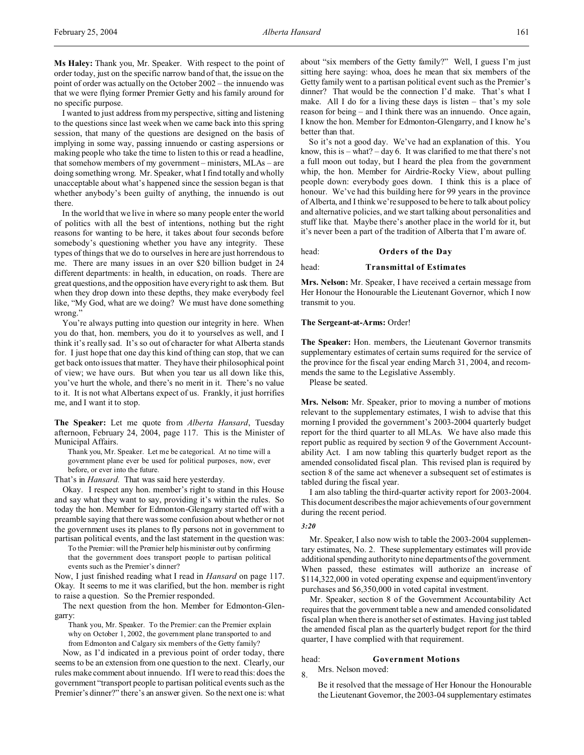**Ms Haley:** Thank you, Mr. Speaker. With respect to the point of order today, just on the specific narrow band of that, the issue on the point of order was actually on the October 2002 – the innuendo was that we were flying former Premier Getty and his family around for no specific purpose.

I wanted to just address from my perspective, sitting and listening to the questions since last week when we came back into this spring session, that many of the questions are designed on the basis of implying in some way, passing innuendo or casting aspersions or making people who take the time to listen to this or read a headline, that somehow members of my government – ministers, MLAs – are doing something wrong. Mr. Speaker, what I find totally and wholly unacceptable about what's happened since the session began is that whether anybody's been guilty of anything, the innuendo is out there.

In the world that we live in where so many people enter the world of politics with all the best of intentions, nothing but the right reasons for wanting to be here, it takes about four seconds before somebody's questioning whether you have any integrity. These types of things that we do to ourselves in here are just horrendous to me. There are many issues in an over \$20 billion budget in 24 different departments: in health, in education, on roads. There are great questions, and the opposition have every right to ask them. But when they drop down into these depths, they make everybody feel like, "My God, what are we doing? We must have done something wrong."

You're always putting into question our integrity in here. When you do that, hon. members, you do it to yourselves as well, and I think it's really sad. It's so out of character for what Alberta stands for. I just hope that one day this kind of thing can stop, that we can get back onto issues that matter. They have their philosophical point of view; we have ours. But when you tear us all down like this, you've hurt the whole, and there's no merit in it. There's no value to it. It is not what Albertans expect of us. Frankly, it just horrifies me, and I want it to stop.

**The Speaker:** Let me quote from *Alberta Hansard*, Tuesday afternoon, February 24, 2004, page 117. This is the Minister of Municipal Affairs.

Thank you, Mr. Speaker. Let me be categorical. At no time will a government plane ever be used for political purposes, now, ever before, or ever into the future.

That's in *Hansard.* That was said here yesterday.

Okay. I respect any hon. member's right to stand in this House and say what they want to say, providing it's within the rules. So today the hon. Member for Edmonton-Glengarry started off with a preamble saying that there was some confusion about whether or not the government uses its planes to fly persons not in government to partisan political events, and the last statement in the question was:

To the Premier: will the Premier help his minister out by confirming that the government does transport people to partisan political events such as the Premier's dinner?

Now, I just finished reading what I read in *Hansard* on page 117. Okay. It seems to me it was clarified, but the hon. member is right to raise a question. So the Premier responded.

The next question from the hon. Member for Edmonton-Glengarry:

Thank you, Mr. Speaker. To the Premier: can the Premier explain why on October 1, 2002, the government plane transported to and from Edmonton and Calgary six members of the Getty family?

Now, as I'd indicated in a previous point of order today, there seems to be an extension from one question to the next. Clearly, our rules make comment about innuendo. If I were to read this: does the government "transport people to partisan political events such as the Premier's dinner?" there's an answer given. So the next one is: what

about "six members of the Getty family?" Well, I guess I'm just sitting here saying: whoa, does he mean that six members of the Getty family went to a partisan political event such as the Premier's dinner? That would be the connection I'd make. That's what I make. All I do for a living these days is listen – that's my sole reason for being – and I think there was an innuendo. Once again, I know the hon. Member for Edmonton-Glengarry, and I know he's better than that.

So it's not a good day. We've had an explanation of this. You know, this is  $-$  what?  $-$  day 6. It was clarified to me that there's not a full moon out today, but I heard the plea from the government whip, the hon. Member for Airdrie-Rocky View, about pulling people down: everybody goes down. I think this is a place of honour. We've had this building here for 99 years in the province of Alberta, and I think we're supposed to be here to talk about policy and alternative policies, and we start talking about personalities and stuff like that. Maybe there's another place in the world for it, but it's never been a part of the tradition of Alberta that I'm aware of.

#### head: **Orders of the Day**

head: **Transmittal of Estimates**

**Mrs. Nelson:** Mr. Speaker, I have received a certain message from Her Honour the Honourable the Lieutenant Governor, which I now transmit to you.

#### **The Sergeant-at-Arms:** Order!

**The Speaker:** Hon. members, the Lieutenant Governor transmits supplementary estimates of certain sums required for the service of the province for the fiscal year ending March 31, 2004, and recommends the same to the Legislative Assembly.

Please be seated.

**Mrs. Nelson:** Mr. Speaker, prior to moving a number of motions relevant to the supplementary estimates, I wish to advise that this morning I provided the government's 2003-2004 quarterly budget report for the third quarter to all MLAs. We have also made this report public as required by section 9 of the Government Accountability Act. I am now tabling this quarterly budget report as the amended consolidated fiscal plan. This revised plan is required by section 8 of the same act whenever a subsequent set of estimates is tabled during the fiscal year.

I am also tabling the third-quarter activity report for 2003-2004. This document describes the major achievements of our government during the recent period.

#### *3:20*

Mr. Speaker, I also now wish to table the 2003-2004 supplementary estimates, No. 2. These supplementary estimates will provide additional spending authority to nine departments of the government. When passed, these estimates will authorize an increase of \$114,322,000 in voted operating expense and equipment/inventory purchases and \$6,350,000 in voted capital investment.

Mr. Speaker, section 8 of the Government Accountability Act requires that the government table a new and amended consolidated fiscal plan when there is another set of estimates. Having just tabled the amended fiscal plan as the quarterly budget report for the third quarter, I have complied with that requirement.

## head: **Government Motions**

8. Mrs. Nelson moved:

Be it resolved that the message of Her Honour the Honourable the Lieutenant Governor, the 2003-04 supplementary estimates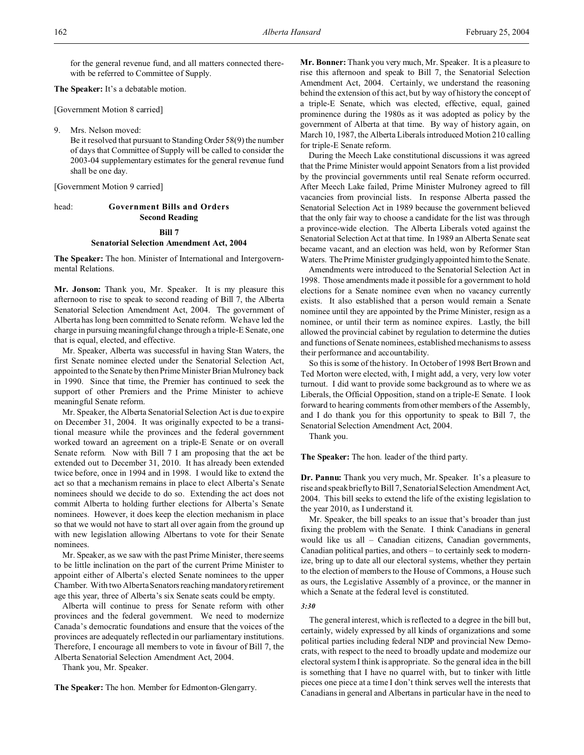for the general revenue fund, and all matters connected therewith be referred to Committee of Supply.

**The Speaker:** It's a debatable motion.

[Government Motion 8 carried]

9. Mrs. Nelson moved:

Be it resolved that pursuant to Standing Order 58(9) the number of days that Committee of Supply will be called to consider the 2003-04 supplementary estimates for the general revenue fund shall be one day.

[Government Motion 9 carried]

## head: **Government Bills and Orders Second Reading**

## **Bill 7**

#### **Senatorial Selection Amendment Act, 2004**

**The Speaker:** The hon. Minister of International and Intergovernmental Relations.

**Mr. Jonson:** Thank you, Mr. Speaker. It is my pleasure this afternoon to rise to speak to second reading of Bill 7, the Alberta Senatorial Selection Amendment Act, 2004. The government of Alberta has long been committed to Senate reform. We have led the charge in pursuing meaningful change through a triple-E Senate, one that is equal, elected, and effective.

Mr. Speaker, Alberta was successful in having Stan Waters, the first Senate nominee elected under the Senatorial Selection Act, appointed to the Senate by then Prime Minister Brian Mulroney back in 1990. Since that time, the Premier has continued to seek the support of other Premiers and the Prime Minister to achieve meaningful Senate reform.

Mr. Speaker, the Alberta Senatorial Selection Act is due to expire on December 31, 2004. It was originally expected to be a transitional measure while the provinces and the federal government worked toward an agreement on a triple-E Senate or on overall Senate reform. Now with Bill 7 I am proposing that the act be extended out to December 31, 2010. It has already been extended twice before, once in 1994 and in 1998. I would like to extend the act so that a mechanism remains in place to elect Alberta's Senate nominees should we decide to do so. Extending the act does not commit Alberta to holding further elections for Alberta's Senate nominees. However, it does keep the election mechanism in place so that we would not have to start all over again from the ground up with new legislation allowing Albertans to vote for their Senate nominees.

Mr. Speaker, as we saw with the past Prime Minister, there seems to be little inclination on the part of the current Prime Minister to appoint either of Alberta's elected Senate nominees to the upper Chamber. With two Alberta Senators reaching mandatory retirement age this year, three of Alberta's six Senate seats could be empty.

Alberta will continue to press for Senate reform with other provinces and the federal government. We need to modernize Canada's democratic foundations and ensure that the voices of the provinces are adequately reflected in our parliamentary institutions. Therefore, I encourage all members to vote in favour of Bill 7, the Alberta Senatorial Selection Amendment Act, 2004.

Thank you, Mr. Speaker.

**The Speaker:** The hon. Member for Edmonton-Glengarry.

**Mr. Bonner:** Thank you very much, Mr. Speaker. It is a pleasure to rise this afternoon and speak to Bill 7, the Senatorial Selection Amendment Act, 2004. Certainly, we understand the reasoning behind the extension of this act, but by way of history the concept of a triple-E Senate, which was elected, effective, equal, gained prominence during the 1980s as it was adopted as policy by the government of Alberta at that time. By way of history again, on March 10, 1987, the Alberta Liberals introduced Motion 210 calling for triple-E Senate reform.

During the Meech Lake constitutional discussions it was agreed that the Prime Minister would appoint Senators from a list provided by the provincial governments until real Senate reform occurred. After Meech Lake failed, Prime Minister Mulroney agreed to fill vacancies from provincial lists. In response Alberta passed the Senatorial Selection Act in 1989 because the government believed that the only fair way to choose a candidate for the list was through a province-wide election. The Alberta Liberals voted against the Senatorial Selection Act at that time. In 1989 an Alberta Senate seat became vacant, and an election was held, won by Reformer Stan Waters. The Prime Minister grudgingly appointed him to the Senate.

Amendments were introduced to the Senatorial Selection Act in 1998. Those amendments made it possible for a government to hold elections for a Senate nominee even when no vacancy currently exists. It also established that a person would remain a Senate nominee until they are appointed by the Prime Minister, resign as a nominee, or until their term as nominee expires. Lastly, the bill allowed the provincial cabinet by regulation to determine the duties and functions of Senate nominees, established mechanisms to assess their performance and accountability.

So this is some of the history. In October of 1998 Bert Brown and Ted Morton were elected, with, I might add, a very, very low voter turnout. I did want to provide some background as to where we as Liberals, the Official Opposition, stand on a triple-E Senate. I look forward to hearing comments from other members of the Assembly, and I do thank you for this opportunity to speak to Bill 7, the Senatorial Selection Amendment Act, 2004.

Thank you.

**The Speaker:** The hon. leader of the third party.

**Dr. Pannu:** Thank you very much, Mr. Speaker. It's a pleasure to rise and speak briefly to Bill 7, Senatorial Selection Amendment Act, 2004. This bill seeks to extend the life of the existing legislation to the year 2010, as I understand it.

Mr. Speaker, the bill speaks to an issue that's broader than just fixing the problem with the Senate. I think Canadians in general would like us all – Canadian citizens, Canadian governments, Canadian political parties, and others – to certainly seek to modernize, bring up to date all our electoral systems, whether they pertain to the election of members to the House of Commons, a House such as ours, the Legislative Assembly of a province, or the manner in which a Senate at the federal level is constituted.

#### *3:30*

The general interest, which is reflected to a degree in the bill but, certainly, widely expressed by all kinds of organizations and some political parties including federal NDP and provincial New Democrats, with respect to the need to broadly update and modernize our electoral system I think is appropriate. So the general idea in the bill is something that I have no quarrel with, but to tinker with little pieces one piece at a time I don't think serves well the interests that Canadians in general and Albertans in particular have in the need to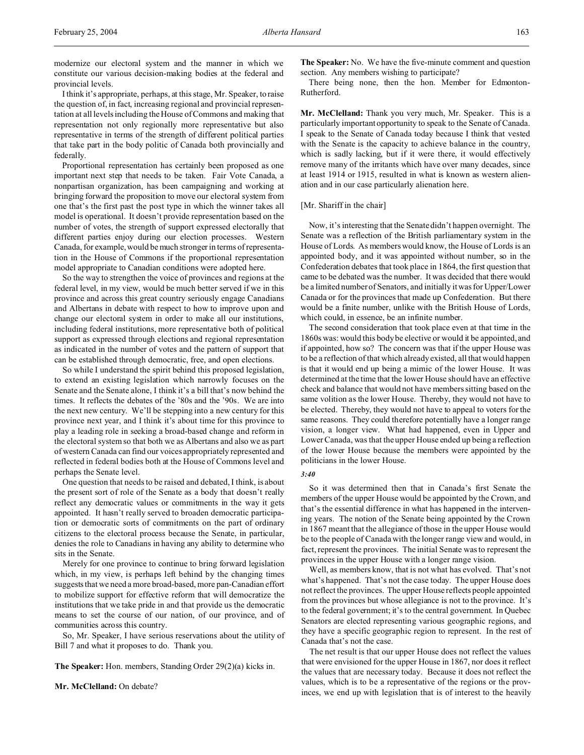modernize our electoral system and the manner in which we constitute our various decision-making bodies at the federal and provincial levels.

I think it's appropriate, perhaps, at this stage, Mr. Speaker, to raise the question of, in fact, increasing regional and provincial representation at all levels including the House of Commons and making that representation not only regionally more representative but also representative in terms of the strength of different political parties that take part in the body politic of Canada both provincially and federally.

Proportional representation has certainly been proposed as one important next step that needs to be taken. Fair Vote Canada, a nonpartisan organization, has been campaigning and working at bringing forward the proposition to move our electoral system from one that's the first past the post type in which the winner takes all model is operational. It doesn't provide representation based on the number of votes, the strength of support expressed electorally that different parties enjoy during our election processes. Western Canada, for example, would be much stronger in terms of representation in the House of Commons if the proportional representation model appropriate to Canadian conditions were adopted here.

So the way to strengthen the voice of provinces and regions at the federal level, in my view, would be much better served if we in this province and across this great country seriously engage Canadians and Albertans in debate with respect to how to improve upon and change our electoral system in order to make all our institutions, including federal institutions, more representative both of political support as expressed through elections and regional representation as indicated in the number of votes and the pattern of support that can be established through democratic, free, and open elections.

So while I understand the spirit behind this proposed legislation, to extend an existing legislation which narrowly focuses on the Senate and the Senate alone, I think it's a bill that's now behind the times. It reflects the debates of the '80s and the '90s. We are into the next new century. We'll be stepping into a new century for this province next year, and I think it's about time for this province to play a leading role in seeking a broad-based change and reform in the electoral system so that both we as Albertans and also we as part of western Canada can find our voices appropriately represented and reflected in federal bodies both at the House of Commons level and perhaps the Senate level.

One question that needs to be raised and debated, I think, is about the present sort of role of the Senate as a body that doesn't really reflect any democratic values or commitments in the way it gets appointed. It hasn't really served to broaden democratic participation or democratic sorts of commitments on the part of ordinary citizens to the electoral process because the Senate, in particular, denies the role to Canadians in having any ability to determine who sits in the Senate.

Merely for one province to continue to bring forward legislation which, in my view, is perhaps left behind by the changing times suggests that we need a more broad-based, more pan-Canadian effort to mobilize support for effective reform that will democratize the institutions that we take pride in and that provide us the democratic means to set the course of our nation, of our province, and of communities across this country.

So, Mr. Speaker, I have serious reservations about the utility of Bill 7 and what it proposes to do. Thank you.

**The Speaker:** Hon. members, Standing Order 29(2)(a) kicks in.

**Mr. McClelland:** On debate?

**The Speaker:** No. We have the five-minute comment and question section. Any members wishing to participate?

There being none, then the hon. Member for Edmonton-Rutherford.

**Mr. McClelland:** Thank you very much, Mr. Speaker. This is a particularly important opportunity to speak to the Senate of Canada. I speak to the Senate of Canada today because I think that vested with the Senate is the capacity to achieve balance in the country, which is sadly lacking, but if it were there, it would effectively remove many of the irritants which have over many decades, since at least 1914 or 1915, resulted in what is known as western alienation and in our case particularly alienation here.

#### [Mr. Shariff in the chair]

Now, it's interesting that the Senate didn't happen overnight. The Senate was a reflection of the British parliamentary system in the House of Lords. As members would know, the House of Lords is an appointed body, and it was appointed without number, so in the Confederation debates that took place in 1864, the first question that came to be debated was the number. It was decided that there would be a limited number of Senators, and initially it was for Upper/Lower Canada or for the provinces that made up Confederation. But there would be a finite number, unlike with the British House of Lords, which could, in essence, be an infinite number.

The second consideration that took place even at that time in the 1860s was: would this body be elective or would it be appointed, and if appointed, how so? The concern was that if the upper House was to be a reflection of that which already existed, all that would happen is that it would end up being a mimic of the lower House. It was determined at the time that the lower House should have an effective check and balance that would not have members sitting based on the same volition as the lower House. Thereby, they would not have to be elected. Thereby, they would not have to appeal to voters for the same reasons. They could therefore potentially have a longer range vision, a longer view. What had happened, even in Upper and Lower Canada, was that the upper House ended up being a reflection of the lower House because the members were appointed by the politicians in the lower House.

#### *3:40*

So it was determined then that in Canada's first Senate the members of the upper House would be appointed by the Crown, and that's the essential difference in what has happened in the intervening years. The notion of the Senate being appointed by the Crown in 1867 meant that the allegiance of those in the upper House would be to the people of Canada with the longer range view and would, in fact, represent the provinces. The initial Senate was to represent the provinces in the upper House with a longer range vision.

Well, as members know, that is not what has evolved. That's not what's happened. That's not the case today. The upper House does not reflect the provinces. The upper House reflects people appointed from the provinces but whose allegiance is not to the province. It's to the federal government; it's to the central government. In Quebec Senators are elected representing various geographic regions, and they have a specific geographic region to represent. In the rest of Canada that's not the case.

The net result is that our upper House does not reflect the values that were envisioned for the upper House in 1867, nor does it reflect the values that are necessary today. Because it does not reflect the values, which is to be a representative of the regions or the provinces, we end up with legislation that is of interest to the heavily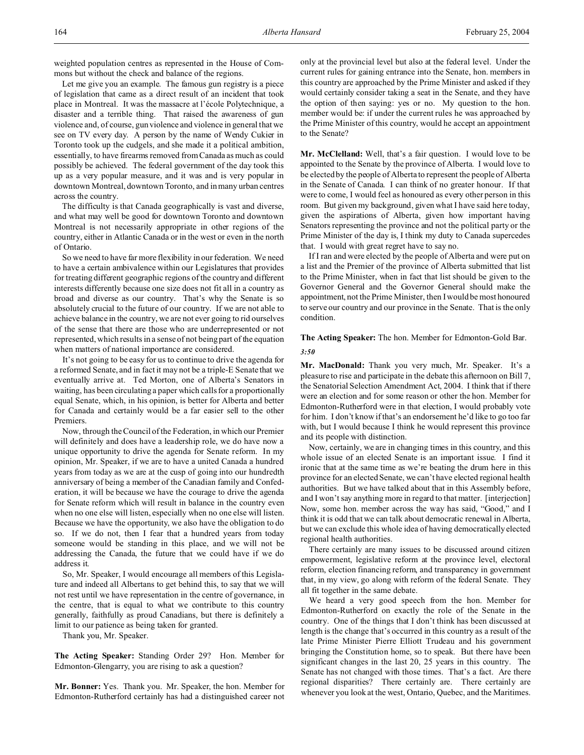weighted population centres as represented in the House of Commons but without the check and balance of the regions.

Let me give you an example. The famous gun registry is a piece of legislation that came as a direct result of an incident that took place in Montreal. It was the massacre at l'école Polytechnique, a disaster and a terrible thing. That raised the awareness of gun violence and, of course, gun violence and violence in general that we see on TV every day. A person by the name of Wendy Cukier in Toronto took up the cudgels, and she made it a political ambition, essentially, to have firearms removed from Canada as much as could possibly be achieved. The federal government of the day took this up as a very popular measure, and it was and is very popular in downtown Montreal, downtown Toronto, and in many urban centres across the country.

The difficulty is that Canada geographically is vast and diverse, and what may well be good for downtown Toronto and downtown Montreal is not necessarily appropriate in other regions of the country, either in Atlantic Canada or in the west or even in the north of Ontario.

So we need to have far more flexibility in our federation. We need to have a certain ambivalence within our Legislatures that provides for treating different geographic regions of the country and different interests differently because one size does not fit all in a country as broad and diverse as our country. That's why the Senate is so absolutely crucial to the future of our country. If we are not able to achieve balance in the country, we are not ever going to rid ourselves of the sense that there are those who are underrepresented or not represented, which results in a sense of not being part of the equation when matters of national importance are considered.

It's not going to be easy for us to continue to drive the agenda for a reformed Senate, and in fact it may not be a triple-E Senate that we eventually arrive at. Ted Morton, one of Alberta's Senators in waiting, has been circulating a paper which calls for a proportionally equal Senate, which, in his opinion, is better for Alberta and better for Canada and certainly would be a far easier sell to the other Premiers.

Now, through the Council of the Federation, in which our Premier will definitely and does have a leadership role, we do have now a unique opportunity to drive the agenda for Senate reform. In my opinion, Mr. Speaker, if we are to have a united Canada a hundred years from today as we are at the cusp of going into our hundredth anniversary of being a member of the Canadian family and Confederation, it will be because we have the courage to drive the agenda for Senate reform which will result in balance in the country even when no one else will listen, especially when no one else will listen. Because we have the opportunity, we also have the obligation to do so. If we do not, then I fear that a hundred years from today someone would be standing in this place, and we will not be addressing the Canada, the future that we could have if we do address it.

So, Mr. Speaker, I would encourage all members of this Legislature and indeed all Albertans to get behind this, to say that we will not rest until we have representation in the centre of governance, in the centre, that is equal to what we contribute to this country generally, faithfully as proud Canadians, but there is definitely a limit to our patience as being taken for granted.

Thank you, Mr. Speaker.

**The Acting Speaker:** Standing Order 29? Hon. Member for Edmonton-Glengarry, you are rising to ask a question?

**Mr. Bonner:** Yes. Thank you. Mr. Speaker, the hon. Member for Edmonton-Rutherford certainly has had a distinguished career not only at the provincial level but also at the federal level. Under the current rules for gaining entrance into the Senate, hon. members in this country are approached by the Prime Minister and asked if they would certainly consider taking a seat in the Senate, and they have the option of then saying: yes or no. My question to the hon. member would be: if under the current rules he was approached by the Prime Minister of this country, would he accept an appointment to the Senate?

**Mr. McClelland:** Well, that's a fair question. I would love to be appointed to the Senate by the province of Alberta. I would love to be elected by the people of Alberta to represent the people of Alberta in the Senate of Canada. I can think of no greater honour. If that were to come, I would feel as honoured as every other person in this room. But given my background, given what I have said here today, given the aspirations of Alberta, given how important having Senators representing the province and not the political party or the Prime Minister of the day is, I think my duty to Canada supercedes that. I would with great regret have to say no.

If I ran and were elected by the people of Alberta and were put on a list and the Premier of the province of Alberta submitted that list to the Prime Minister, when in fact that list should be given to the Governor General and the Governor General should make the appointment, not the Prime Minister, then I would be most honoured to serve our country and our province in the Senate. That is the only condition.

## **The Acting Speaker:** The hon. Member for Edmonton-Gold Bar.

#### *3:50*

**Mr. MacDonald:** Thank you very much, Mr. Speaker. It's a pleasure to rise and participate in the debate this afternoon on Bill 7, the Senatorial Selection Amendment Act, 2004. I think that if there were an election and for some reason or other the hon. Member for Edmonton-Rutherford were in that election, I would probably vote for him. I don't know if that's an endorsement he'd like to go too far with, but I would because I think he would represent this province and its people with distinction.

Now, certainly, we are in changing times in this country, and this whole issue of an elected Senate is an important issue. I find it ironic that at the same time as we're beating the drum here in this province for an elected Senate, we can't have elected regional health authorities. But we have talked about that in this Assembly before, and I won't say anything more in regard to that matter. [interjection] Now, some hon. member across the way has said, "Good," and I think it is odd that we can talk about democratic renewal in Alberta, but we can exclude this whole idea of having democratically elected regional health authorities.

There certainly are many issues to be discussed around citizen empowerment, legislative reform at the province level, electoral reform, election financing reform, and transparency in government that, in my view, go along with reform of the federal Senate. They all fit together in the same debate.

We heard a very good speech from the hon. Member for Edmonton-Rutherford on exactly the role of the Senate in the country. One of the things that I don't think has been discussed at length is the change that's occurred in this country as a result of the late Prime Minister Pierre Elliott Trudeau and his government bringing the Constitution home, so to speak. But there have been significant changes in the last 20, 25 years in this country. The Senate has not changed with those times. That's a fact. Are there regional disparities? There certainly are. There certainly are whenever you look at the west, Ontario, Quebec, and the Maritimes.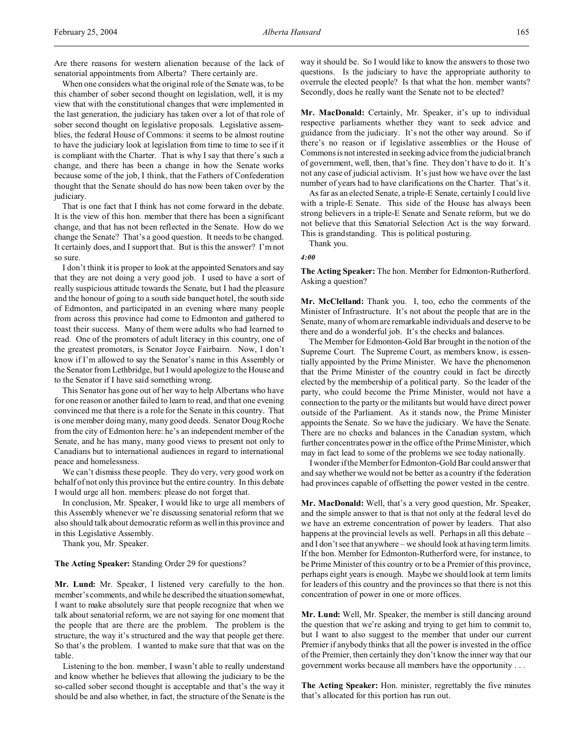Are there reasons for western alienation because of the lack of senatorial appointments from Alberta? There certainly are.

When one considers what the original role of the Senate was, to be this chamber of sober second thought on legislation, well, it is my view that with the constitutional changes that were implemented in the last generation, the judiciary has taken over a lot of that role of sober second thought on legislative proposals. Legislative assemblies, the federal House of Commons: it seems to be almost routine to have the judiciary look at legislation from time to time to see if it is compliant with the Charter. That is why I say that there's such a change, and there has been a change in how the Senate works because some of the job, I think, that the Fathers of Confederation thought that the Senate should do has now been taken over by the judiciary.

That is one fact that I think has not come forward in the debate. It is the view of this hon. member that there has been a significant change, and that has not been reflected in the Senate. How do we change the Senate? That's a good question. It needs to be changed. It certainly does, and I support that. But is this the answer? I'm not so sure.

I don't think it is proper to look at the appointed Senators and say that they are not doing a very good job. I used to have a sort of really suspicious attitude towards the Senate, but I had the pleasure and the honour of going to a south side banquet hotel, the south side of Edmonton, and participated in an evening where many people from across this province had come to Edmonton and gathered to toast their success. Many of them were adults who had learned to read. One of the promoters of adult literacy in this country, one of the greatest promoters, is Senator Joyce Fairbairn. Now, I don't know if I'm allowed to say the Senator's name in this Assembly or the Senator from Lethbridge, but I would apologize to the House and to the Senator if I have said something wrong.

This Senator has gone out of her way to help Albertans who have for one reason or another failed to learn to read, and that one evening convinced me that there is a role for the Senate in this country. That is one member doing many, many good deeds. Senator Doug Roche from the city of Edmonton here: he's an independent member of the Senate, and he has many, many good views to present not only to Canadians but to international audiences in regard to international peace and homelessness.

We can't dismiss these people. They do very, very good work on behalf of not only this province but the entire country. In this debate I would urge all hon. members: please do not forget that.

In conclusion, Mr. Speaker, I would like to urge all members of this Assembly whenever we're discussing senatorial reform that we also should talk about democratic reform as well in this province and in this Legislative Assembly.

Thank you, Mr. Speaker.

**The Acting Speaker:** Standing Order 29 for questions?

**Mr. Lund:** Mr. Speaker, I listened very carefully to the hon. member's comments, and while he described the situationsomewhat, I want to make absolutely sure that people recognize that when we talk about senatorial reform, we are not saying for one moment that the people that are there are the problem. The problem is the structure, the way it's structured and the way that people get there. So that's the problem. I wanted to make sure that that was on the table.

Listening to the hon. member, I wasn't able to really understand and know whether he believes that allowing the judiciary to be the so-called sober second thought is acceptable and that's the way it should be and also whether, in fact, the structure of the Senate is the

way it should be. So I would like to know the answers to those two questions. Is the judiciary to have the appropriate authority to overrule the elected people? Is that what the hon. member wants? Secondly, does he really want the Senate not to be elected?

**Mr. MacDonald:** Certainly, Mr. Speaker, it's up to individual respective parliaments whether they want to seek advice and guidance from the judiciary. It's not the other way around. So if there's no reason or if legislative assemblies or the House of Commons is not interested in seeking advice from the judicial branch of government, well, then, that's fine. They don't have to do it. It's not any case of judicial activism. It's just how we have over the last number of years had to have clarifications on the Charter. That's it.

As far as an elected Senate, a triple-E Senate, certainly I could live with a triple-E Senate. This side of the House has always been strong believers in a triple-E Senate and Senate reform, but we do not believe that this Senatorial Selection Act is the way forward. This is grandstanding. This is political posturing.

Thank you.

*4:00*

**The Acting Speaker:** The hon. Member for Edmonton-Rutherford. Asking a question?

**Mr. McClelland:** Thank you. I, too, echo the comments of the Minister of Infrastructure. It's not about the people that are in the Senate, many of whom are remarkable individuals and deserve to be there and do a wonderful job. It's the checks and balances.

The Member for Edmonton-Gold Bar brought in the notion of the Supreme Court. The Supreme Court, as members know, is essentially appointed by the Prime Minister. We have the phenomenon that the Prime Minister of the country could in fact be directly elected by the membership of a political party. So the leader of the party, who could become the Prime Minister, would not have a connection to the party or the militants but would have direct power outside of the Parliament. As it stands now, the Prime Minister appoints the Senate. So we have the judiciary. We have the Senate. There are no checks and balances in the Canadian system, which further concentrates power in the office of the Prime Minister, which may in fact lead to some of the problems we see today nationally.

I wonder if the Member for Edmonton-Gold Bar could answer that and say whether we would not be better as a country if the federation had provinces capable of offsetting the power vested in the centre.

**Mr. MacDonald:** Well, that's a very good question, Mr. Speaker, and the simple answer to that is that not only at the federal level do we have an extreme concentration of power by leaders. That also happens at the provincial levels as well. Perhaps in all this debate – and I don't see that anywhere – we should look at having term limits. If the hon. Member for Edmonton-Rutherford were, for instance, to be Prime Minister of this country or to be a Premier of this province, perhaps eight years is enough. Maybe we should look at term limits for leaders of this country and the provinces so that there is not this concentration of power in one or more offices.

**Mr. Lund:** Well, Mr. Speaker, the member is still dancing around the question that we're asking and trying to get him to commit to, but I want to also suggest to the member that under our current Premier if anybody thinks that all the power is invested in the office of the Premier, then certainly they don't know the inner way that our government works because all members have the opportunity . . .

**The Acting Speaker:** Hon. minister, regrettably the five minutes that's allocated for this portion has run out.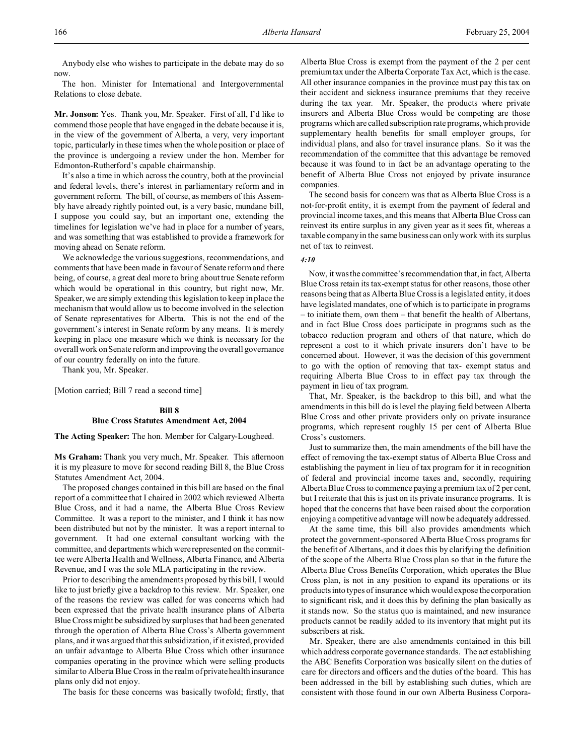Anybody else who wishes to participate in the debate may do so now.

The hon. Minister for International and Intergovernmental Relations to close debate.

**Mr. Jonson:** Yes. Thank you, Mr. Speaker. First of all, I'd like to commend those people that have engaged in the debate because it is, in the view of the government of Alberta, a very, very important topic, particularly in these times when the whole position or place of the province is undergoing a review under the hon. Member for Edmonton-Rutherford's capable chairmanship.

It's also a time in which across the country, both at the provincial and federal levels, there's interest in parliamentary reform and in government reform. The bill, of course, as members of this Assembly have already rightly pointed out, is a very basic, mundane bill, I suppose you could say, but an important one, extending the timelines for legislation we've had in place for a number of years, and was something that was established to provide a framework for moving ahead on Senate reform.

We acknowledge the various suggestions, recommendations, and comments that have been made in favour of Senate reform and there being, of course, a great deal more to bring about true Senate reform which would be operational in this country, but right now, Mr. Speaker, we are simply extending this legislation to keep in place the mechanism that would allow us to become involved in the selection of Senate representatives for Alberta. This is not the end of the government's interest in Senate reform by any means. It is merely keeping in place one measure which we think is necessary for the overall work on Senate reform and improving the overall governance of our country federally on into the future.

Thank you, Mr. Speaker.

[Motion carried; Bill 7 read a second time]

## **Bill 8**

#### **Blue Cross Statutes Amendment Act, 2004**

**The Acting Speaker:** The hon. Member for Calgary-Lougheed.

**Ms Graham:** Thank you very much, Mr. Speaker. This afternoon it is my pleasure to move for second reading Bill 8, the Blue Cross Statutes Amendment Act, 2004.

The proposed changes contained in this bill are based on the final report of a committee that I chaired in 2002 which reviewed Alberta Blue Cross, and it had a name, the Alberta Blue Cross Review Committee. It was a report to the minister, and I think it has now been distributed but not by the minister. It was a report internal to government. It had one external consultant working with the committee, and departments which were represented on the committee were Alberta Health and Wellness, Alberta Finance, and Alberta Revenue, and I was the sole MLA participating in the review.

Prior to describing the amendments proposed by this bill, I would like to just briefly give a backdrop to this review. Mr. Speaker, one of the reasons the review was called for was concerns which had been expressed that the private health insurance plans of Alberta Blue Cross might be subsidized by surpluses that had been generated through the operation of Alberta Blue Cross's Alberta government plans, and it was argued that this subsidization, if it existed, provided an unfair advantage to Alberta Blue Cross which other insurance companies operating in the province which were selling products similar to Alberta Blue Cross in the realm of private health insurance plans only did not enjoy.

The basis for these concerns was basically twofold; firstly, that

Alberta Blue Cross is exempt from the payment of the 2 per cent premium tax under the Alberta Corporate Tax Act, which is the case. All other insurance companies in the province must pay this tax on their accident and sickness insurance premiums that they receive during the tax year. Mr. Speaker, the products where private insurers and Alberta Blue Cross would be competing are those programs which are called subscription rate programs, which provide supplementary health benefits for small employer groups, for individual plans, and also for travel insurance plans. So it was the recommendation of the committee that this advantage be removed because it was found to in fact be an advantage operating to the benefit of Alberta Blue Cross not enjoyed by private insurance companies.

The second basis for concern was that as Alberta Blue Cross is a not-for-profit entity, it is exempt from the payment of federal and provincial income taxes, and this means that Alberta Blue Cross can reinvest its entire surplus in any given year as it sees fit, whereas a taxable company in the same business can only work with its surplus net of tax to reinvest.

## *4:10*

Now, it was the committee's recommendation that, in fact, Alberta Blue Cross retain its tax-exempt status for other reasons, those other reasons being that as Alberta Blue Cross is a legislated entity, it does have legislated mandates, one of which is to participate in programs – to initiate them, own them – that benefit the health of Albertans, and in fact Blue Cross does participate in programs such as the tobacco reduction program and others of that nature, which do represent a cost to it which private insurers don't have to be concerned about. However, it was the decision of this government to go with the option of removing that tax- exempt status and requiring Alberta Blue Cross to in effect pay tax through the payment in lieu of tax program.

That, Mr. Speaker, is the backdrop to this bill, and what the amendments in this bill do is level the playing field between Alberta Blue Cross and other private providers only on private insurance programs, which represent roughly 15 per cent of Alberta Blue Cross's customers.

Just to summarize then, the main amendments of the bill have the effect of removing the tax-exempt status of Alberta Blue Cross and establishing the payment in lieu of tax program for it in recognition of federal and provincial income taxes and, secondly, requiring Alberta Blue Cross to commence paying a premium tax of 2 per cent, but I reiterate that this is just on its private insurance programs. It is hoped that the concerns that have been raised about the corporation enjoying a competitive advantage will now be adequately addressed.

At the same time, this bill also provides amendments which protect the government-sponsored Alberta Blue Cross programs for the benefit of Albertans, and it does this by clarifying the definition of the scope of the Alberta Blue Cross plan so that in the future the Alberta Blue Cross Benefits Corporation, which operates the Blue Cross plan, is not in any position to expand its operations or its products into types of insurance which would expose the corporation to significant risk, and it does this by defining the plan basically as it stands now. So the status quo is maintained, and new insurance products cannot be readily added to its inventory that might put its subscribers at risk.

Mr. Speaker, there are also amendments contained in this bill which address corporate governance standards. The act establishing the ABC Benefits Corporation was basically silent on the duties of care for directors and officers and the duties of the board. This has been addressed in the bill by establishing such duties, which are consistent with those found in our own Alberta Business Corpora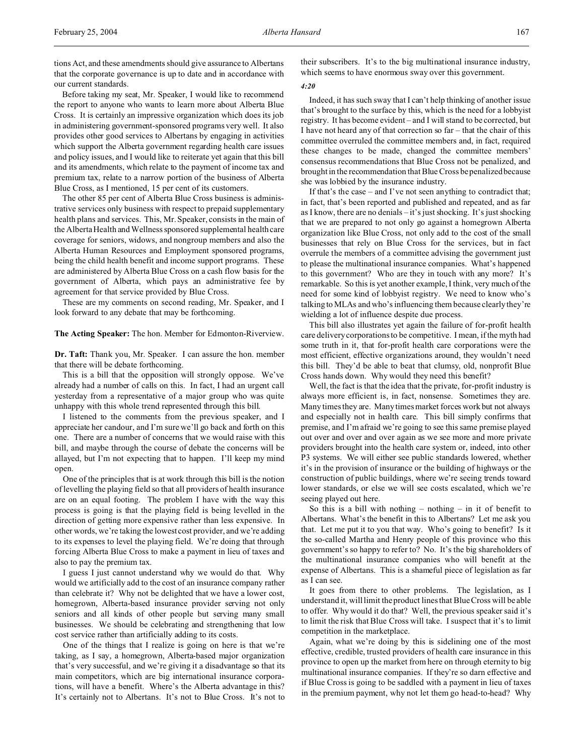tions Act, and these amendments should give assurance to Albertans that the corporate governance is up to date and in accordance with our current standards.

Before taking my seat, Mr. Speaker, I would like to recommend the report to anyone who wants to learn more about Alberta Blue Cross. It is certainly an impressive organization which does its job in administering government-sponsored programs very well. It also provides other good services to Albertans by engaging in activities which support the Alberta government regarding health care issues and policy issues, and I would like to reiterate yet again that this bill and its amendments, which relate to the payment of income tax and premium tax, relate to a narrow portion of the business of Alberta Blue Cross, as I mentioned, 15 per cent of its customers.

The other 85 per cent of Alberta Blue Cross business is administrative services only business with respect to prepaid supplementary health plans and services. This, Mr. Speaker, consists in the main of the Alberta Health and Wellness sponsored supplemental health care coverage for seniors, widows, and nongroup members and also the Alberta Human Resources and Employment sponsored programs, being the child health benefit and income support programs. These are administered by Alberta Blue Cross on a cash flow basis for the government of Alberta, which pays an administrative fee by agreement for that service provided by Blue Cross.

These are my comments on second reading, Mr. Speaker, and I look forward to any debate that may be forthcoming.

**The Acting Speaker:** The hon. Member for Edmonton-Riverview.

**Dr. Taft:** Thank you, Mr. Speaker. I can assure the hon. member that there will be debate forthcoming.

This is a bill that the opposition will strongly oppose. We've already had a number of calls on this. In fact, I had an urgent call yesterday from a representative of a major group who was quite unhappy with this whole trend represented through this bill.

I listened to the comments from the previous speaker, and I appreciate her candour, and I'm sure we'll go back and forth on this one. There are a number of concerns that we would raise with this bill, and maybe through the course of debate the concerns will be allayed, but I'm not expecting that to happen. I'll keep my mind open.

One of the principles that is at work through this bill is the notion of levelling the playing field so that all providers of health insurance are on an equal footing. The problem I have with the way this process is going is that the playing field is being levelled in the direction of getting more expensive rather than less expensive. In other words, we're taking the lowest cost provider, and we're adding to its expenses to level the playing field. We're doing that through forcing Alberta Blue Cross to make a payment in lieu of taxes and also to pay the premium tax.

I guess I just cannot understand why we would do that. Why would we artificially add to the cost of an insurance company rather than celebrate it? Why not be delighted that we have a lower cost, homegrown, Alberta-based insurance provider serving not only seniors and all kinds of other people but serving many small businesses. We should be celebrating and strengthening that low cost service rather than artificially adding to its costs.

One of the things that I realize is going on here is that we're taking, as I say, a homegrown, Alberta-based major organization that's very successful, and we're giving it a disadvantage so that its main competitors, which are big international insurance corporations, will have a benefit. Where's the Alberta advantage in this? It's certainly not to Albertans. It's not to Blue Cross. It's not to

their subscribers. It's to the big multinational insurance industry, which seems to have enormous sway over this government.

## *4:20*

Indeed, it has such sway that I can't help thinking of another issue that's brought to the surface by this, which is the need for a lobbyist registry. It has become evident – and I will stand to be corrected, but I have not heard any of that correction so far – that the chair of this committee overruled the committee members and, in fact, required these changes to be made, changed the committee members' consensus recommendations that Blue Cross not be penalized, and brought in the recommendation that Blue Cross be penalized because she was lobbied by the insurance industry.

If that's the case – and I've not seen anything to contradict that; in fact, that's been reported and published and repeated, and as far as I know, there are no denials – it's just shocking. It's just shocking that we are prepared to not only go against a homegrown Alberta organization like Blue Cross, not only add to the cost of the small businesses that rely on Blue Cross for the services, but in fact overrule the members of a committee advising the government just to please the multinational insurance companies. What's happened to this government? Who are they in touch with any more? It's remarkable. So this is yet another example, I think, very much of the need for some kind of lobbyist registry. We need to know who's talking to MLAs and who's influencing them because clearly they're wielding a lot of influence despite due process.

This bill also illustrates yet again the failure of for-profit health care delivery corporations to be competitive. I mean, if the myth had some truth in it, that for-profit health care corporations were the most efficient, effective organizations around, they wouldn't need this bill. They'd be able to beat that clumsy, old, nonprofit Blue Cross hands down. Why would they need this benefit?

Well, the fact is that the idea that the private, for-profit industry is always more efficient is, in fact, nonsense. Sometimes they are. Many times they are. Many times market forces work but not always and especially not in health care. This bill simply confirms that premise, and I'm afraid we're going to see this same premise played out over and over and over again as we see more and more private providers brought into the health care system or, indeed, into other P3 systems. We will either see public standards lowered, whether it's in the provision of insurance or the building of highways or the construction of public buildings, where we're seeing trends toward lower standards, or else we will see costs escalated, which we're seeing played out here.

So this is a bill with nothing – nothing – in it of benefit to Albertans. What's the benefit in this to Albertans? Let me ask you that. Let me put it to you that way. Who's going to benefit? Is it the so-called Martha and Henry people of this province who this government's so happy to refer to? No. It's the big shareholders of the multinational insurance companies who will benefit at the expense of Albertans. This is a shameful piece of legislation as far as I can see.

It goes from there to other problems. The legislation, as I understand it, will limit the product lines that Blue Cross will be able to offer. Why would it do that? Well, the previous speaker said it's to limit the risk that Blue Cross will take. I suspect that it's to limit competition in the marketplace.

Again, what we're doing by this is sidelining one of the most effective, credible, trusted providers of health care insurance in this province to open up the market from here on through eternity to big multinational insurance companies. If they're so darn effective and if Blue Cross is going to be saddled with a payment in lieu of taxes in the premium payment, why not let them go head-to-head? Why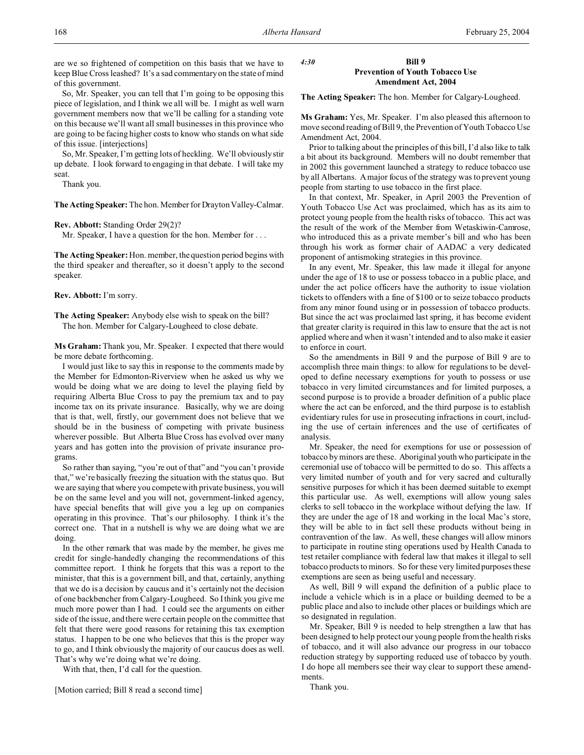are we so frightened of competition on this basis that we have to keep Blue Cross leashed? It's a sad commentary on the state of mind of this government.

So, Mr. Speaker, you can tell that I'm going to be opposing this piece of legislation, and I think we all will be. I might as well warn government members now that we'll be calling for a standing vote on this because we'll want all small businesses in this province who are going to be facing higher costs to know who stands on what side of this issue. [interjections]

So, Mr. Speaker, I'm getting lots of heckling. We'll obviously stir up debate. I look forward to engaging in that debate. I will take my seat.

Thank you.

**The Acting Speaker:**The hon. Member for Drayton Valley-Calmar.

**Rev. Abbott:** Standing Order 29(2)?

Mr. Speaker, I have a question for the hon. Member for . . .

**The Acting Speaker:** Hon. member, the question period begins with the third speaker and thereafter, so it doesn't apply to the second speaker.

**Rev. Abbott:** I'm sorry.

**The Acting Speaker:** Anybody else wish to speak on the bill? The hon. Member for Calgary-Lougheed to close debate.

**Ms Graham:** Thank you, Mr. Speaker. I expected that there would be more debate forthcoming.

I would just like to say this in response to the comments made by the Member for Edmonton-Riverview when he asked us why we would be doing what we are doing to level the playing field by requiring Alberta Blue Cross to pay the premium tax and to pay income tax on its private insurance. Basically, why we are doing that is that, well, firstly, our government does not believe that we should be in the business of competing with private business wherever possible. But Alberta Blue Cross has evolved over many years and has gotten into the provision of private insurance programs.

So rather than saying, "you're out of that" and "you can't provide that," we're basically freezing the situation with the status quo. But we are saying that where you compete with private business, you will be on the same level and you will not, government-linked agency, have special benefits that will give you a leg up on companies operating in this province. That's our philosophy. I think it's the correct one. That in a nutshell is why we are doing what we are doing.

In the other remark that was made by the member, he gives me credit for single-handedly changing the recommendations of this committee report. I think he forgets that this was a report to the minister, that this is a government bill, and that, certainly, anything that we do is a decision by caucus and it's certainly not the decision of one backbencher from Calgary-Lougheed. So I think you give me much more power than I had. I could see the arguments on either side of the issue, and there were certain people on the committee that felt that there were good reasons for retaining this tax exemption status. I happen to be one who believes that this is the proper way to go, and I think obviously the majority of our caucus does as well. That's why we're doing what we're doing.

With that, then, I'd call for the question.

[Motion carried; Bill 8 read a second time]

## *4:30* **Bill 9 Prevention of Youth Tobacco Use Amendment Act, 2004**

**The Acting Speaker:** The hon. Member for Calgary-Lougheed.

**Ms Graham:** Yes, Mr. Speaker. I'm also pleased this afternoon to move second reading of Bill 9, the Prevention of Youth Tobacco Use Amendment Act, 2004.

Prior to talking about the principles of this bill, I'd also like to talk a bit about its background. Members will no doubt remember that in 2002 this government launched a strategy to reduce tobacco use by all Albertans. A major focus of the strategy was to prevent young people from starting to use tobacco in the first place.

In that context, Mr. Speaker, in April 2003 the Prevention of Youth Tobacco Use Act was proclaimed, which has as its aim to protect young people from the health risks of tobacco. This act was the result of the work of the Member from Wetaskiwin-Camrose, who introduced this as a private member's bill and who has been through his work as former chair of AADAC a very dedicated proponent of antismoking strategies in this province.

In any event, Mr. Speaker, this law made it illegal for anyone under the age of 18 to use or possess tobacco in a public place, and under the act police officers have the authority to issue violation tickets to offenders with a fine of \$100 or to seize tobacco products from any minor found using or in possession of tobacco products. But since the act was proclaimed last spring, it has become evident that greater clarity is required in this law to ensure that the act is not applied where and when it wasn't intended and to also make it easier to enforce in court.

So the amendments in Bill 9 and the purpose of Bill 9 are to accomplish three main things: to allow for regulations to be developed to define necessary exemptions for youth to possess or use tobacco in very limited circumstances and for limited purposes, a second purpose is to provide a broader definition of a public place where the act can be enforced, and the third purpose is to establish evidentiary rules for use in prosecuting infractions in court, including the use of certain inferences and the use of certificates of analysis.

Mr. Speaker, the need for exemptions for use or possession of tobacco by minors are these. Aboriginal youth who participate in the ceremonial use of tobacco will be permitted to do so. This affects a very limited number of youth and for very sacred and culturally sensitive purposes for which it has been deemed suitable to exempt this particular use. As well, exemptions will allow young sales clerks to sell tobacco in the workplace without defying the law. If they are under the age of 18 and working in the local Mac's store, they will be able to in fact sell these products without being in contravention of the law. As well, these changes will allow minors to participate in routine sting operations used by Health Canada to test retailer compliance with federal law that makes it illegal to sell tobacco products to minors. So for these very limited purposes these exemptions are seen as being useful and necessary.

As well, Bill 9 will expand the definition of a public place to include a vehicle which is in a place or building deemed to be a public place and also to include other places or buildings which are so designated in regulation.

Mr. Speaker, Bill 9 is needed to help strengthen a law that has been designed to help protect our young people from the health risks of tobacco, and it will also advance our progress in our tobacco reduction strategy by supporting reduced use of tobacco by youth. I do hope all members see their way clear to support these amendments.

Thank you.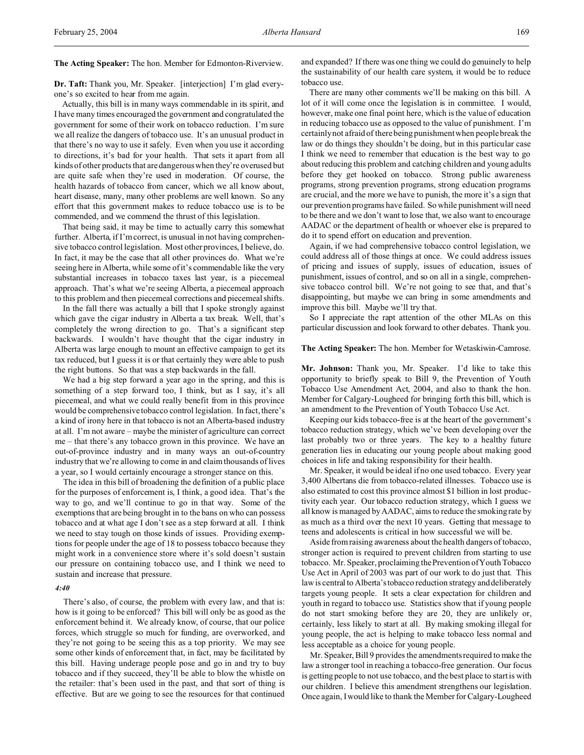**The Acting Speaker:** The hon. Member for Edmonton-Riverview.

**Dr. Taft:** Thank you, Mr. Speaker. [interjection] I'm glad everyone's so excited to hear from me again.

Actually, this bill is in many ways commendable in its spirit, and I have many times encouraged the government and congratulated the government for some of their work on tobacco reduction. I'm sure we all realize the dangers of tobacco use. It's an unusual product in that there's no way to use it safely. Even when you use it according to directions, it's bad for your health. That sets it apart from all kinds of other products that are dangerous when they're overused but are quite safe when they're used in moderation. Of course, the health hazards of tobacco from cancer, which we all know about, heart disease, many, many other problems are well known. So any effort that this government makes to reduce tobacco use is to be commended, and we commend the thrust of this legislation.

That being said, it may be time to actually carry this somewhat further. Alberta, if I'm correct, is unusual in not having comprehensive tobacco control legislation. Most other provinces, I believe, do. In fact, it may be the case that all other provinces do. What we're seeing here in Alberta, while some of it's commendable like the very substantial increases in tobacco taxes last year, is a piecemeal approach. That's what we're seeing Alberta, a piecemeal approach to this problem and then piecemeal corrections and piecemeal shifts.

In the fall there was actually a bill that I spoke strongly against which gave the cigar industry in Alberta a tax break. Well, that's completely the wrong direction to go. That's a significant step backwards. I wouldn't have thought that the cigar industry in Alberta was large enough to mount an effective campaign to get its tax reduced, but I guess it is or that certainly they were able to push the right buttons. So that was a step backwards in the fall.

We had a big step forward a year ago in the spring, and this is something of a step forward too, I think, but as I say, it's all piecemeal, and what we could really benefit from in this province would be comprehensive tobacco control legislation. In fact, there's a kind of irony here in that tobacco is not an Alberta-based industry at all. I'm not aware – maybe the minister of agriculture can correct me – that there's any tobacco grown in this province. We have an out-of-province industry and in many ways an out-of-country industry that we're allowing to come in and claim thousands of lives a year, so I would certainly encourage a stronger stance on this.

The idea in this bill of broadening the definition of a public place for the purposes of enforcement is, I think, a good idea. That's the way to go, and we'll continue to go in that way. Some of the exemptions that are being brought in to the bans on who can possess tobacco and at what age I don't see as a step forward at all. I think we need to stay tough on those kinds of issues. Providing exemptions for people under the age of 18 to possess tobacco because they might work in a convenience store where it's sold doesn't sustain our pressure on containing tobacco use, and I think we need to sustain and increase that pressure.

#### *4:40*

There's also, of course, the problem with every law, and that is: how is it going to be enforced? This bill will only be as good as the enforcement behind it. We already know, of course, that our police forces, which struggle so much for funding, are overworked, and they're not going to be seeing this as a top priority. We may see some other kinds of enforcement that, in fact, may be facilitated by this bill. Having underage people pose and go in and try to buy tobacco and if they succeed, they'll be able to blow the whistle on the retailer: that's been used in the past, and that sort of thing is effective. But are we going to see the resources for that continued

and expanded? If there was one thing we could do genuinely to help the sustainability of our health care system, it would be to reduce tobacco use.

There are many other comments we'll be making on this bill. A lot of it will come once the legislation is in committee. I would, however, make one final point here, which is the value of education in reducing tobacco use as opposed to the value of punishment. I'm certainly not afraid of there being punishment when people break the law or do things they shouldn't be doing, but in this particular case I think we need to remember that education is the best way to go about reducing this problem and catching children and young adults before they get hooked on tobacco. Strong public awareness programs, strong prevention programs, strong education programs are crucial, and the more we have to punish, the more it's a sign that our prevention programs have failed. So while punishment will need to be there and we don't want to lose that, we also want to encourage AADAC or the department of health or whoever else is prepared to do it to spend effort on education and prevention.

Again, if we had comprehensive tobacco control legislation, we could address all of those things at once. We could address issues of pricing and issues of supply, issues of education, issues of punishment, issues of control, and so on all in a single, comprehensive tobacco control bill. We're not going to see that, and that's disappointing, but maybe we can bring in some amendments and improve this bill. Maybe we'll try that.

So I appreciate the rapt attention of the other MLAs on this particular discussion and look forward to other debates. Thank you.

#### **The Acting Speaker:** The hon. Member for Wetaskiwin-Camrose.

**Mr. Johnson:** Thank you, Mr. Speaker. I'd like to take this opportunity to briefly speak to Bill 9, the Prevention of Youth Tobacco Use Amendment Act, 2004, and also to thank the hon. Member for Calgary-Lougheed for bringing forth this bill, which is an amendment to the Prevention of Youth Tobacco Use Act.

Keeping our kids tobacco-free is at the heart of the government's tobacco reduction strategy, which we've been developing over the last probably two or three years. The key to a healthy future generation lies in educating our young people about making good choices in life and taking responsibility for their health.

Mr. Speaker, it would be ideal if no one used tobacco. Every year 3,400 Albertans die from tobacco-related illnesses. Tobacco use is also estimated to cost this province almost \$1 billion in lost productivity each year. Our tobacco reduction strategy, which I guess we all know is managed by AADAC, aims to reduce the smoking rate by as much as a third over the next 10 years. Getting that message to teens and adolescents is critical in how successful we will be.

Aside from raising awareness about the health dangers of tobacco, stronger action is required to prevent children from starting to use tobacco. Mr. Speaker, proclaiming the Prevention of Youth Tobacco Use Act in April of 2003 was part of our work to do just that. This law is central to Alberta'stobacco reduction strategy and deliberately targets young people. It sets a clear expectation for children and youth in regard to tobacco use. Statistics show that if young people do not start smoking before they are 20, they are unlikely or, certainly, less likely to start at all. By making smoking illegal for young people, the act is helping to make tobacco less normal and less acceptable as a choice for young people.

Mr. Speaker, Bill 9 provides the amendments required to make the law a stronger tool in reaching a tobacco-free generation. Our focus is getting people to not use tobacco, and the best place to start is with our children. I believe this amendment strengthens our legislation. Once again, I would like to thank the Member for Calgary-Lougheed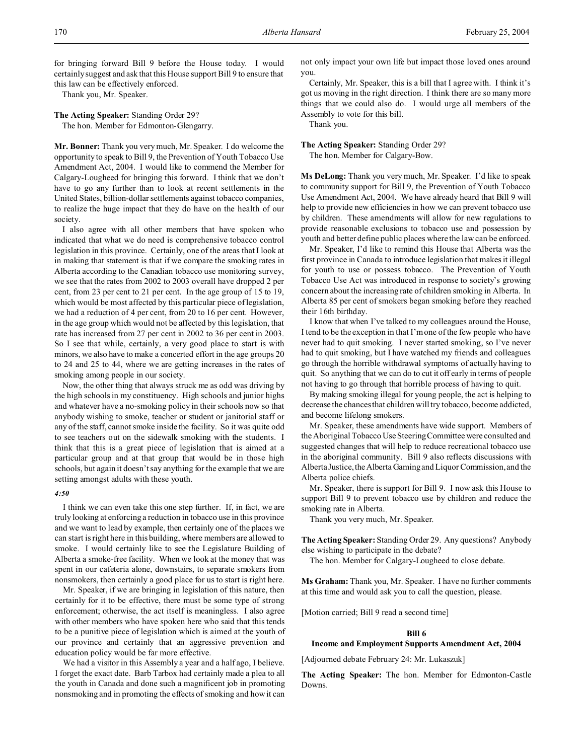for bringing forward Bill 9 before the House today. I would certainly suggest and ask that this House support Bill 9 to ensure that this law can be effectively enforced.

Thank you, Mr. Speaker.

**The Acting Speaker:** Standing Order 29? The hon. Member for Edmonton-Glengarry.

**Mr. Bonner:** Thank you very much, Mr. Speaker. I do welcome the opportunity to speak to Bill 9, the Prevention of Youth Tobacco Use Amendment Act, 2004. I would like to commend the Member for Calgary-Lougheed for bringing this forward. I think that we don't have to go any further than to look at recent settlements in the United States, billion-dollar settlements against tobacco companies, to realize the huge impact that they do have on the health of our society.

I also agree with all other members that have spoken who indicated that what we do need is comprehensive tobacco control legislation in this province. Certainly, one of the areas that I look at in making that statement is that if we compare the smoking rates in Alberta according to the Canadian tobacco use monitoring survey, we see that the rates from 2002 to 2003 overall have dropped 2 per cent, from 23 per cent to 21 per cent. In the age group of 15 to 19, which would be most affected by this particular piece of legislation, we had a reduction of 4 per cent, from 20 to 16 per cent. However, in the age group which would not be affected by this legislation, that rate has increased from 27 per cent in 2002 to 36 per cent in 2003. So I see that while, certainly, a very good place to start is with minors, we also have to make a concerted effort in the age groups 20 to 24 and 25 to 44, where we are getting increases in the rates of smoking among people in our society.

Now, the other thing that always struck me as odd was driving by the high schools in my constituency. High schools and junior highs and whatever have a no-smoking policy in their schools now so that anybody wishing to smoke, teacher or student or janitorial staff or any of the staff, cannot smoke inside the facility. So it was quite odd to see teachers out on the sidewalk smoking with the students. I think that this is a great piece of legislation that is aimed at a particular group and at that group that would be in those high schools, but again it doesn't say anything for the example that we are setting amongst adults with these youth.

## *4:50*

I think we can even take this one step further. If, in fact, we are truly looking at enforcing a reduction in tobacco use in this province and we want to lead by example, then certainly one of the places we can start is right here in this building, where members are allowed to smoke. I would certainly like to see the Legislature Building of Alberta a smoke-free facility. When we look at the money that was spent in our cafeteria alone, downstairs, to separate smokers from nonsmokers, then certainly a good place for us to start is right here.

Mr. Speaker, if we are bringing in legislation of this nature, then certainly for it to be effective, there must be some type of strong enforcement; otherwise, the act itself is meaningless. I also agree with other members who have spoken here who said that this tends to be a punitive piece of legislation which is aimed at the youth of our province and certainly that an aggressive prevention and education policy would be far more effective.

We had a visitor in this Assembly a year and a half ago, I believe. I forget the exact date. Barb Tarbox had certainly made a plea to all the youth in Canada and done such a magnificent job in promoting nonsmoking and in promoting the effects of smoking and how it can

not only impact your own life but impact those loved ones around you.

Certainly, Mr. Speaker, this is a bill that I agree with. I think it's got us moving in the right direction. I think there are so many more things that we could also do. I would urge all members of the Assembly to vote for this bill.

Thank you.

**The Acting Speaker:** Standing Order 29? The hon. Member for Calgary-Bow.

**Ms DeLong:** Thank you very much, Mr. Speaker. I'd like to speak to community support for Bill 9, the Prevention of Youth Tobacco Use Amendment Act, 2004. We have already heard that Bill 9 will help to provide new efficiencies in how we can prevent tobacco use by children. These amendments will allow for new regulations to provide reasonable exclusions to tobacco use and possession by youth and better define public places where the law can be enforced.

Mr. Speaker, I'd like to remind this House that Alberta was the first province in Canada to introduce legislation that makes it illegal for youth to use or possess tobacco. The Prevention of Youth Tobacco Use Act was introduced in response to society's growing concern about the increasing rate of children smoking in Alberta. In Alberta 85 per cent of smokers began smoking before they reached their 16th birthday.

I know that when I've talked to my colleagues around the House, I tend to be the exception in that I'm one of the few people who have never had to quit smoking. I never started smoking, so I've never had to quit smoking, but I have watched my friends and colleagues go through the horrible withdrawal symptoms of actually having to quit. So anything that we can do to cut it off early in terms of people not having to go through that horrible process of having to quit.

By making smoking illegal for young people, the act is helping to decrease the chances that children will try tobacco, become addicted, and become lifelong smokers.

Mr. Speaker, these amendments have wide support. Members of the Aboriginal Tobacco Use Steering Committee were consulted and suggested changes that will help to reduce recreational tobacco use in the aboriginal community. Bill 9 also reflects discussions with Alberta Justice, theAlberta Gaming and Liquor Commission, and the Alberta police chiefs.

Mr. Speaker, there is support for Bill 9. I now ask this House to support Bill 9 to prevent tobacco use by children and reduce the smoking rate in Alberta.

Thank you very much, Mr. Speaker.

**The Acting Speaker:** Standing Order 29. Any questions? Anybody else wishing to participate in the debate?

The hon. Member for Calgary-Lougheed to close debate.

**Ms Graham:** Thank you, Mr. Speaker. I have no further comments at this time and would ask you to call the question, please.

[Motion carried; Bill 9 read a second time]

## **Bill 6**

#### **Income and Employment Supports Amendment Act, 2004**

[Adjourned debate February 24: Mr. Lukaszuk]

**The Acting Speaker:** The hon. Member for Edmonton-Castle Downs.